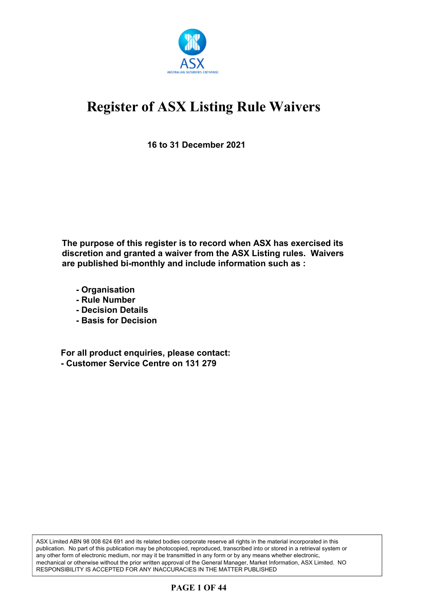

**16 to 31 December 2021**

**The purpose of this register is to record when ASX has exercised its discretion and granted a waiver from the ASX Listing rules. Waivers are published bi-monthly and include information such as :**

- **Organisation**
- **Rule Number**
- **Decision Details**
- **Basis for Decision**

**For all product enquiries, please contact: - Customer Service Centre on 131 279**

ASX Limited ABN 98 008 624 691 and its related bodies corporate reserve all rights in the material incorporated in this publication. No part of this publication may be photocopied, reproduced, transcribed into or stored in a retrieval system or any other form of electronic medium, nor may it be transmitted in any form or by any means whether electronic, mechanical or otherwise without the prior written approval of the General Manager, Market Information, ASX Limited. NO RESPONSIBILITY IS ACCEPTED FOR ANY INACCURACIES IN THE MATTER PUBLISHED

### **PAGE 1 OF 44**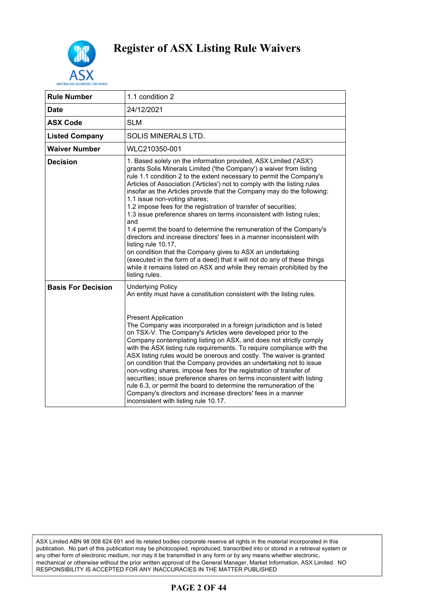

| <b>Rule Number</b>        | 1.1 condition 2                                                                                                                                                                                                                                                                                                                                                                                                                                                                                                                                                                                                                                                                                                                                                                                                                                                                                                                                                      |
|---------------------------|----------------------------------------------------------------------------------------------------------------------------------------------------------------------------------------------------------------------------------------------------------------------------------------------------------------------------------------------------------------------------------------------------------------------------------------------------------------------------------------------------------------------------------------------------------------------------------------------------------------------------------------------------------------------------------------------------------------------------------------------------------------------------------------------------------------------------------------------------------------------------------------------------------------------------------------------------------------------|
| <b>Date</b>               | 24/12/2021                                                                                                                                                                                                                                                                                                                                                                                                                                                                                                                                                                                                                                                                                                                                                                                                                                                                                                                                                           |
| <b>ASX Code</b>           | <b>SLM</b>                                                                                                                                                                                                                                                                                                                                                                                                                                                                                                                                                                                                                                                                                                                                                                                                                                                                                                                                                           |
| <b>Listed Company</b>     | SOLIS MINERALS LTD.                                                                                                                                                                                                                                                                                                                                                                                                                                                                                                                                                                                                                                                                                                                                                                                                                                                                                                                                                  |
| <b>Waiver Number</b>      | WLC210350-001                                                                                                                                                                                                                                                                                                                                                                                                                                                                                                                                                                                                                                                                                                                                                                                                                                                                                                                                                        |
| <b>Decision</b>           | 1. Based solely on the information provided, ASX Limited ('ASX')<br>grants Solis Minerals Limited ('the Company') a waiver from listing<br>rule 1.1 condition 2 to the extent necessary to permit the Company's<br>Articles of Association ('Articles') not to comply with the listing rules<br>insofar as the Articles provide that the Company may do the following:<br>1.1 issue non-voting shares;<br>1.2 impose fees for the registration of transfer of securities;<br>1.3 issue preference shares on terms inconsistent with listing rules;<br>and<br>1.4 permit the board to determine the remuneration of the Company's<br>directors and increase directors' fees in a manner inconsistent with<br>listing rule 10.17,<br>on condition that the Company gives to ASX an undertaking<br>(executed in the form of a deed) that it will not do any of these things<br>while it remains listed on ASX and while they remain prohibited by the<br>listing rules. |
| <b>Basis For Decision</b> | <b>Underlying Policy</b><br>An entity must have a constitution consistent with the listing rules.<br><b>Present Application</b><br>The Company was incorporated in a foreign jurisdiction and is listed<br>on TSX-V. The Company's Articles were developed prior to the<br>Company contemplating listing on ASX, and does not strictly comply<br>with the ASX listing rule requirements. To require compliance with the<br>ASX listing rules would be onerous and costly. The waiver is granted<br>on condition that the Company provides an undertaking not to issue<br>non-voting shares, impose fees for the registration of transfer of<br>securities; issue preference shares on terms inconsistent with listing<br>rule 6.3, or permit the board to determine the remuneration of the<br>Company's directors and increase directors' fees in a manner<br>inconsistent with listing rule 10.17.                                                                 |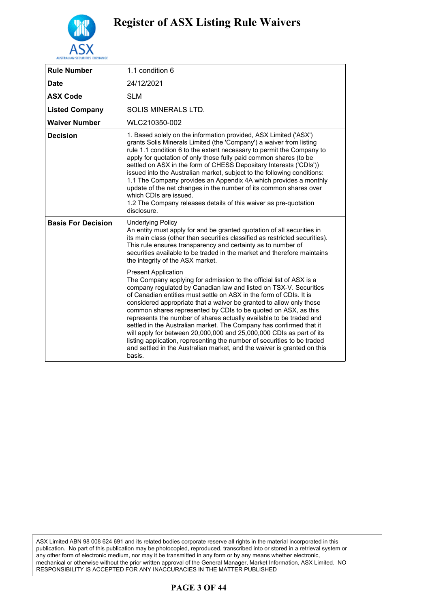

|                           | 1.1 condition 6                                                                                                                                                                                                                                                                                                                                                                                                                                                                                                                                                                                                                                                                                                                                                                                                                                                                                                                                                                                                                                                                                                                                 |
|---------------------------|-------------------------------------------------------------------------------------------------------------------------------------------------------------------------------------------------------------------------------------------------------------------------------------------------------------------------------------------------------------------------------------------------------------------------------------------------------------------------------------------------------------------------------------------------------------------------------------------------------------------------------------------------------------------------------------------------------------------------------------------------------------------------------------------------------------------------------------------------------------------------------------------------------------------------------------------------------------------------------------------------------------------------------------------------------------------------------------------------------------------------------------------------|
| <b>Rule Number</b>        |                                                                                                                                                                                                                                                                                                                                                                                                                                                                                                                                                                                                                                                                                                                                                                                                                                                                                                                                                                                                                                                                                                                                                 |
| <b>Date</b>               | 24/12/2021                                                                                                                                                                                                                                                                                                                                                                                                                                                                                                                                                                                                                                                                                                                                                                                                                                                                                                                                                                                                                                                                                                                                      |
| <b>ASX Code</b>           | <b>SLM</b>                                                                                                                                                                                                                                                                                                                                                                                                                                                                                                                                                                                                                                                                                                                                                                                                                                                                                                                                                                                                                                                                                                                                      |
| <b>Listed Company</b>     | <b>SOLIS MINERALS LTD.</b>                                                                                                                                                                                                                                                                                                                                                                                                                                                                                                                                                                                                                                                                                                                                                                                                                                                                                                                                                                                                                                                                                                                      |
| <b>Waiver Number</b>      | WLC210350-002                                                                                                                                                                                                                                                                                                                                                                                                                                                                                                                                                                                                                                                                                                                                                                                                                                                                                                                                                                                                                                                                                                                                   |
| <b>Decision</b>           | 1. Based solely on the information provided, ASX Limited ('ASX')<br>grants Solis Minerals Limited (the 'Company') a waiver from listing<br>rule 1.1 condition 6 to the extent necessary to permit the Company to<br>apply for quotation of only those fully paid common shares (to be<br>settled on ASX in the form of CHESS Depositary Interests ('CDIs'))<br>issued into the Australian market, subject to the following conditions:<br>1.1 The Company provides an Appendix 4A which provides a monthly<br>update of the net changes in the number of its common shares over<br>which CDIs are issued.<br>1.2 The Company releases details of this waiver as pre-quotation<br>disclosure.                                                                                                                                                                                                                                                                                                                                                                                                                                                    |
| <b>Basis For Decision</b> | <b>Underlying Policy</b><br>An entity must apply for and be granted quotation of all securities in<br>its main class (other than securities classified as restricted securities).<br>This rule ensures transparency and certainty as to number of<br>securities available to be traded in the market and therefore maintains<br>the integrity of the ASX market.<br><b>Present Application</b><br>The Company applying for admission to the official list of ASX is a<br>company regulated by Canadian law and listed on TSX-V. Securities<br>of Canadian entities must settle on ASX in the form of CDIs. It is<br>considered appropriate that a waiver be granted to allow only those<br>common shares represented by CDIs to be quoted on ASX, as this<br>represents the number of shares actually available to be traded and<br>settled in the Australian market. The Company has confirmed that it<br>will apply for between 20,000,000 and 25,000,000 CDIs as part of its<br>listing application, representing the number of securities to be traded<br>and settled in the Australian market, and the waiver is granted on this<br>basis. |

ASX Limited ABN 98 008 624 691 and its related bodies corporate reserve all rights in the material incorporated in this publication. No part of this publication may be photocopied, reproduced, transcribed into or stored in a retrieval system or any other form of electronic medium, nor may it be transmitted in any form or by any means whether electronic, mechanical or otherwise without the prior written approval of the General Manager, Market Information, ASX Limited. NO RESPONSIBILITY IS ACCEPTED FOR ANY INACCURACIES IN THE MATTER PUBLISHED

### **PAGE 3 OF 44**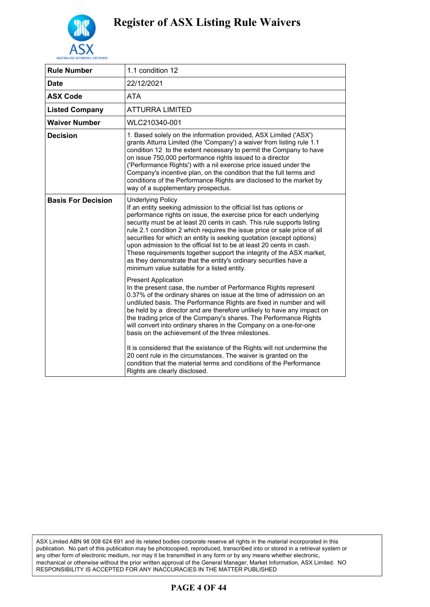

| <b>Rule Number</b>        | 1.1 condition 12                                                                                                                                                                                                                                                                                                                                                                                                                                                                                                                                                                                                                                                       |
|---------------------------|------------------------------------------------------------------------------------------------------------------------------------------------------------------------------------------------------------------------------------------------------------------------------------------------------------------------------------------------------------------------------------------------------------------------------------------------------------------------------------------------------------------------------------------------------------------------------------------------------------------------------------------------------------------------|
| <b>Date</b>               | 22/12/2021                                                                                                                                                                                                                                                                                                                                                                                                                                                                                                                                                                                                                                                             |
| <b>ASX Code</b>           | <b>ATA</b>                                                                                                                                                                                                                                                                                                                                                                                                                                                                                                                                                                                                                                                             |
| <b>Listed Company</b>     | <b>ATTURRA LIMITED</b>                                                                                                                                                                                                                                                                                                                                                                                                                                                                                                                                                                                                                                                 |
| Waiver Number             | WLC210340-001                                                                                                                                                                                                                                                                                                                                                                                                                                                                                                                                                                                                                                                          |
| <b>Decision</b>           | 1. Based solely on the information provided, ASX Limited ('ASX')<br>grants Atturra Limited (the 'Company') a waiver from listing rule 1.1<br>condition 12 to the extent necessary to permit the Company to have<br>on issue 750,000 performance rights issued to a director<br>('Performance Rights') with a nil exercise price issued under the<br>Company's incentive plan, on the condition that the full terms and<br>conditions of the Performance Rights are disclosed to the market by<br>way of a supplementary prospectus.                                                                                                                                    |
| <b>Basis For Decision</b> | <b>Underlying Policy</b><br>If an entity seeking admission to the official list has options or<br>performance rights on issue, the exercise price for each underlying<br>security must be at least 20 cents in cash. This rule supports listing<br>rule 2.1 condition 2 which requires the issue price or sale price of all<br>securities for which an entity is seeking quotation (except options)<br>upon admission to the official list to be at least 20 cents in cash.<br>These requirements together support the integrity of the ASX market,<br>as they demonstrate that the entity's ordinary securities have a<br>minimum value suitable for a listed entity. |
|                           | <b>Present Application</b><br>In the present case, the number of Performance Rights represent<br>0.37% of the ordinary shares on issue at the time of admission on an<br>undiluted basis. The Performance Rights are fixed in number and will<br>be held by a director and are therefore unlikely to have any impact on<br>the trading price of the Company's shares. The Performance Rights<br>will convert into ordinary shares in the Company on a one-for-one<br>basis on the achievement of the three milestones.                                                                                                                                                 |
|                           | It is considered that the existence of the Rights will not undermine the<br>20 cent rule in the circumstances. The waiver is granted on the<br>condition that the material terms and conditions of the Performance<br>Rights are clearly disclosed.                                                                                                                                                                                                                                                                                                                                                                                                                    |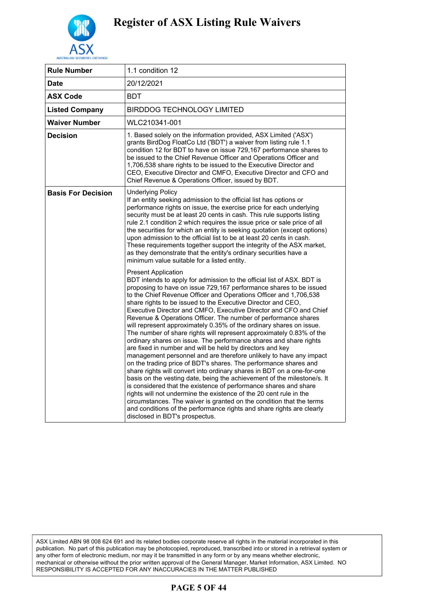

| <b>Rule Number</b>        | 1.1 condition 12                                                                                                                                                                                                                                                                                                                                                                                                                                                                                                                                                                                                                                                                                                                                                                                                                                                                                                                                                                                                                                                                                                                                                                                                                                                                                                                                                    |
|---------------------------|---------------------------------------------------------------------------------------------------------------------------------------------------------------------------------------------------------------------------------------------------------------------------------------------------------------------------------------------------------------------------------------------------------------------------------------------------------------------------------------------------------------------------------------------------------------------------------------------------------------------------------------------------------------------------------------------------------------------------------------------------------------------------------------------------------------------------------------------------------------------------------------------------------------------------------------------------------------------------------------------------------------------------------------------------------------------------------------------------------------------------------------------------------------------------------------------------------------------------------------------------------------------------------------------------------------------------------------------------------------------|
| Date                      | 20/12/2021                                                                                                                                                                                                                                                                                                                                                                                                                                                                                                                                                                                                                                                                                                                                                                                                                                                                                                                                                                                                                                                                                                                                                                                                                                                                                                                                                          |
| <b>ASX Code</b>           | <b>BDT</b>                                                                                                                                                                                                                                                                                                                                                                                                                                                                                                                                                                                                                                                                                                                                                                                                                                                                                                                                                                                                                                                                                                                                                                                                                                                                                                                                                          |
| <b>Listed Company</b>     | BIRDDOG TECHNOLOGY LIMITED                                                                                                                                                                                                                                                                                                                                                                                                                                                                                                                                                                                                                                                                                                                                                                                                                                                                                                                                                                                                                                                                                                                                                                                                                                                                                                                                          |
| Waiver Number             | WLC210341-001                                                                                                                                                                                                                                                                                                                                                                                                                                                                                                                                                                                                                                                                                                                                                                                                                                                                                                                                                                                                                                                                                                                                                                                                                                                                                                                                                       |
| <b>Decision</b>           | 1. Based solely on the information provided, ASX Limited ('ASX')<br>grants BirdDog FloatCo Ltd ('BDT') a waiver from listing rule 1.1<br>condition 12 for BDT to have on issue 729,167 performance shares to<br>be issued to the Chief Revenue Officer and Operations Officer and<br>1,706,538 share rights to be issued to the Executive Director and<br>CEO, Executive Director and CMFO, Executive Director and CFO and<br>Chief Revenue & Operations Officer, issued by BDT.                                                                                                                                                                                                                                                                                                                                                                                                                                                                                                                                                                                                                                                                                                                                                                                                                                                                                    |
| <b>Basis For Decision</b> | <b>Underlying Policy</b><br>If an entity seeking admission to the official list has options or<br>performance rights on issue, the exercise price for each underlying<br>security must be at least 20 cents in cash. This rule supports listing<br>rule 2.1 condition 2 which requires the issue price or sale price of all<br>the securities for which an entity is seeking quotation (except options)<br>upon admission to the official list to be at least 20 cents in cash.<br>These requirements together support the integrity of the ASX market,<br>as they demonstrate that the entity's ordinary securities have a<br>minimum value suitable for a listed entity.                                                                                                                                                                                                                                                                                                                                                                                                                                                                                                                                                                                                                                                                                          |
|                           | <b>Present Application</b><br>BDT intends to apply for admission to the official list of ASX. BDT is<br>proposing to have on issue 729,167 performance shares to be issued<br>to the Chief Revenue Officer and Operations Officer and 1,706,538<br>share rights to be issued to the Executive Director and CEO,<br>Executive Director and CMFO, Executive Director and CFO and Chief<br>Revenue & Operations Officer. The number of performance shares<br>will represent approximately 0.35% of the ordinary shares on issue.<br>The number of share rights will represent approximately 0.83% of the<br>ordinary shares on issue. The performance shares and share rights<br>are fixed in number and will be held by directors and key<br>management personnel and are therefore unlikely to have any impact<br>on the trading price of BDT's shares. The performance shares and<br>share rights will convert into ordinary shares in BDT on a one-for-one<br>basis on the vesting date, being the achievement of the milestone/s. It<br>is considered that the existence of performance shares and share<br>rights will not undermine the existence of the 20 cent rule in the<br>circumstances. The waiver is granted on the condition that the terms<br>and conditions of the performance rights and share rights are clearly<br>disclosed in BDT's prospectus. |

ASX Limited ABN 98 008 624 691 and its related bodies corporate reserve all rights in the material incorporated in this publication. No part of this publication may be photocopied, reproduced, transcribed into or stored in a retrieval system or any other form of electronic medium, nor may it be transmitted in any form or by any means whether electronic, mechanical or otherwise without the prior written approval of the General Manager, Market Information, ASX Limited. NO RESPONSIBILITY IS ACCEPTED FOR ANY INACCURACIES IN THE MATTER PUBLISHED

### **PAGE 5 OF 44**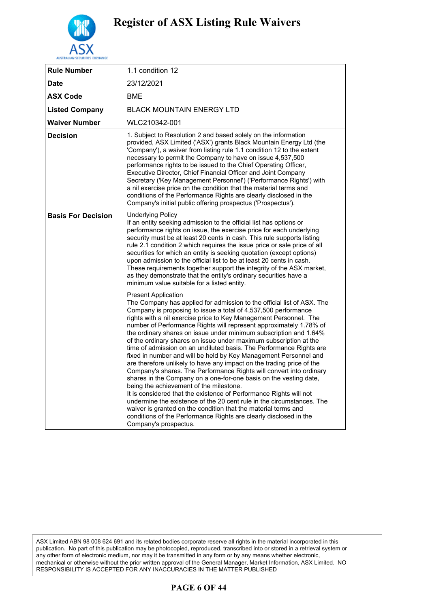

| <b>Rule Number</b>        | 1.1 condition 12                                                                                                                                                                                                                                                                                                                                                                                                                                                                                                                                                                                                                                                                                                                                                                                                                                                                                                                                                                                                                                                                                                                                                                      |
|---------------------------|---------------------------------------------------------------------------------------------------------------------------------------------------------------------------------------------------------------------------------------------------------------------------------------------------------------------------------------------------------------------------------------------------------------------------------------------------------------------------------------------------------------------------------------------------------------------------------------------------------------------------------------------------------------------------------------------------------------------------------------------------------------------------------------------------------------------------------------------------------------------------------------------------------------------------------------------------------------------------------------------------------------------------------------------------------------------------------------------------------------------------------------------------------------------------------------|
| Date                      | 23/12/2021                                                                                                                                                                                                                                                                                                                                                                                                                                                                                                                                                                                                                                                                                                                                                                                                                                                                                                                                                                                                                                                                                                                                                                            |
| <b>ASX Code</b>           | <b>BME</b>                                                                                                                                                                                                                                                                                                                                                                                                                                                                                                                                                                                                                                                                                                                                                                                                                                                                                                                                                                                                                                                                                                                                                                            |
| <b>Listed Company</b>     | <b>BLACK MOUNTAIN ENERGY LTD</b>                                                                                                                                                                                                                                                                                                                                                                                                                                                                                                                                                                                                                                                                                                                                                                                                                                                                                                                                                                                                                                                                                                                                                      |
| <b>Waiver Number</b>      | WLC210342-001                                                                                                                                                                                                                                                                                                                                                                                                                                                                                                                                                                                                                                                                                                                                                                                                                                                                                                                                                                                                                                                                                                                                                                         |
| <b>Decision</b>           | 1. Subject to Resolution 2 and based solely on the information<br>provided, ASX Limited ('ASX') grants Black Mountain Energy Ltd (the<br>'Company'), a waiver from listing rule 1.1 condition 12 to the extent<br>necessary to permit the Company to have on issue 4,537,500<br>performance rights to be issued to the Chief Operating Officer,<br>Executive Director, Chief Financial Officer and Joint Company<br>Secretary ('Key Management Personnel') ('Performance Rights') with<br>a nil exercise price on the condition that the material terms and<br>conditions of the Performance Rights are clearly disclosed in the<br>Company's initial public offering prospectus ('Prospectus').                                                                                                                                                                                                                                                                                                                                                                                                                                                                                      |
| <b>Basis For Decision</b> | <b>Underlying Policy</b><br>If an entity seeking admission to the official list has options or<br>performance rights on issue, the exercise price for each underlying<br>security must be at least 20 cents in cash. This rule supports listing<br>rule 2.1 condition 2 which requires the issue price or sale price of all<br>securities for which an entity is seeking quotation (except options)<br>upon admission to the official list to be at least 20 cents in cash.<br>These requirements together support the integrity of the ASX market,<br>as they demonstrate that the entity's ordinary securities have a<br>minimum value suitable for a listed entity.                                                                                                                                                                                                                                                                                                                                                                                                                                                                                                                |
|                           | <b>Present Application</b><br>The Company has applied for admission to the official list of ASX. The<br>Company is proposing to issue a total of 4,537,500 performance<br>rights with a nil exercise price to Key Management Personnel. The<br>number of Performance Rights will represent approximately 1.78% of<br>the ordinary shares on issue under minimum subscription and 1.64%<br>of the ordinary shares on issue under maximum subscription at the<br>time of admission on an undiluted basis. The Performance Rights are<br>fixed in number and will be held by Key Management Personnel and<br>are therefore unlikely to have any impact on the trading price of the<br>Company's shares. The Performance Rights will convert into ordinary<br>shares in the Company on a one-for-one basis on the vesting date,<br>being the achievement of the milestone.<br>It is considered that the existence of Performance Rights will not<br>undermine the existence of the 20 cent rule in the circumstances. The<br>waiver is granted on the condition that the material terms and<br>conditions of the Performance Rights are clearly disclosed in the<br>Company's prospectus. |

ASX Limited ABN 98 008 624 691 and its related bodies corporate reserve all rights in the material incorporated in this publication. No part of this publication may be photocopied, reproduced, transcribed into or stored in a retrieval system or any other form of electronic medium, nor may it be transmitted in any form or by any means whether electronic, mechanical or otherwise without the prior written approval of the General Manager, Market Information, ASX Limited. NO RESPONSIBILITY IS ACCEPTED FOR ANY INACCURACIES IN THE MATTER PUBLISHED

### **PAGE 6 OF 44**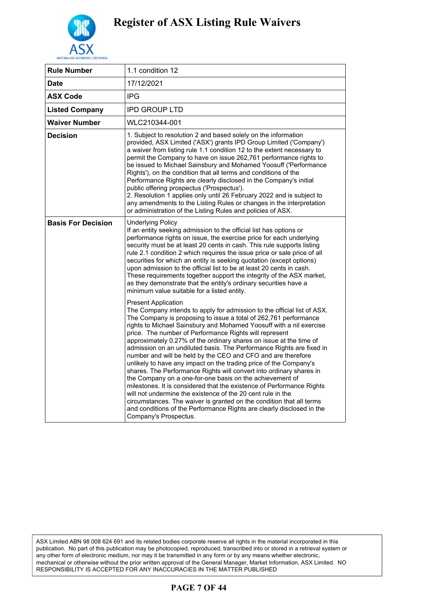

| 1.1 condition 12                                                                                                                                                                                                                                                                                                                                                                                                                                                                                                                                                                                                                                                                                                                                                                                                                                                                                                                                                                                                                                   |
|----------------------------------------------------------------------------------------------------------------------------------------------------------------------------------------------------------------------------------------------------------------------------------------------------------------------------------------------------------------------------------------------------------------------------------------------------------------------------------------------------------------------------------------------------------------------------------------------------------------------------------------------------------------------------------------------------------------------------------------------------------------------------------------------------------------------------------------------------------------------------------------------------------------------------------------------------------------------------------------------------------------------------------------------------|
| 17/12/2021                                                                                                                                                                                                                                                                                                                                                                                                                                                                                                                                                                                                                                                                                                                                                                                                                                                                                                                                                                                                                                         |
| <b>IPG</b>                                                                                                                                                                                                                                                                                                                                                                                                                                                                                                                                                                                                                                                                                                                                                                                                                                                                                                                                                                                                                                         |
| <b>IPD GROUP LTD</b>                                                                                                                                                                                                                                                                                                                                                                                                                                                                                                                                                                                                                                                                                                                                                                                                                                                                                                                                                                                                                               |
| WLC210344-001                                                                                                                                                                                                                                                                                                                                                                                                                                                                                                                                                                                                                                                                                                                                                                                                                                                                                                                                                                                                                                      |
| 1. Subject to resolution 2 and based solely on the information<br>provided, ASX Limited ('ASX') grants IPD Group Limited ('Company')<br>a waiver from listing rule 1.1 condition 12 to the extent necessary to<br>permit the Company to have on issue 262,761 performance rights to<br>be issued to Michael Sainsbury and Mohamed Yoosuff ('Performance<br>Rights'), on the condition that all terms and conditions of the<br>Performance Rights are clearly disclosed in the Company's initial<br>public offering prospectus ('Prospectus').<br>2. Resolution 1 applies only until 26 February 2022 and is subject to<br>any amendments to the Listing Rules or changes in the interpretation<br>or administration of the Listing Rules and policies of ASX.                                                                                                                                                                                                                                                                                      |
| <b>Underlying Policy</b><br>If an entity seeking admission to the official list has options or<br>performance rights on issue, the exercise price for each underlying<br>security must be at least 20 cents in cash. This rule supports listing<br>rule 2.1 condition 2 which requires the issue price or sale price of all<br>securities for which an entity is seeking quotation (except options)<br>upon admission to the official list to be at least 20 cents in cash.<br>These requirements together support the integrity of the ASX market,<br>as they demonstrate that the entity's ordinary securities have a<br>minimum value suitable for a listed entity.                                                                                                                                                                                                                                                                                                                                                                             |
| <b>Present Application</b><br>The Company intends to apply for admission to the official list of ASX.<br>The Company is proposing to issue a total of 262,761 performance<br>rights to Michael Sainsbury and Mohamed Yoosuff with a nil exercise<br>price. The number of Performance Rights will represent<br>approximately 0.27% of the ordinary shares on issue at the time of<br>admission on an undiluted basis. The Performance Rights are fixed in<br>number and will be held by the CEO and CFO and are therefore<br>unlikely to have any impact on the trading price of the Company's<br>shares. The Performance Rights will convert into ordinary shares in<br>the Company on a one-for-one basis on the achievement of<br>milestones. It is considered that the existence of Performance Rights<br>will not undermine the existence of the 20 cent rule in the<br>circumstances. The waiver is granted on the condition that all terms<br>and conditions of the Performance Rights are clearly disclosed in the<br>Company's Prospectus. |
|                                                                                                                                                                                                                                                                                                                                                                                                                                                                                                                                                                                                                                                                                                                                                                                                                                                                                                                                                                                                                                                    |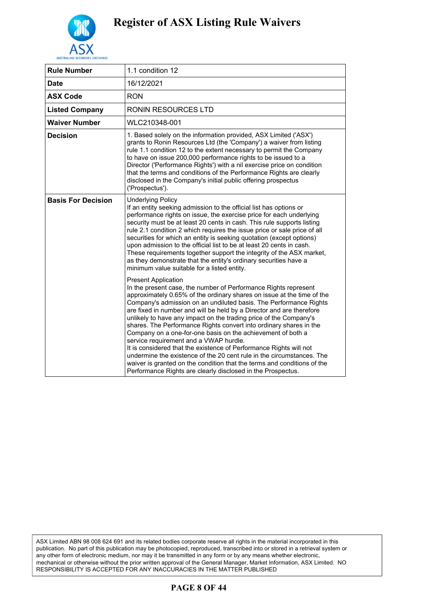

| <b>Rule Number</b>        | 1.1 condition 12                                                                                                                                                                                                                                                                                                                                                                                                                                                                                                                                                                                                                                                                                                                                                                                                                                                  |
|---------------------------|-------------------------------------------------------------------------------------------------------------------------------------------------------------------------------------------------------------------------------------------------------------------------------------------------------------------------------------------------------------------------------------------------------------------------------------------------------------------------------------------------------------------------------------------------------------------------------------------------------------------------------------------------------------------------------------------------------------------------------------------------------------------------------------------------------------------------------------------------------------------|
| Date                      | 16/12/2021                                                                                                                                                                                                                                                                                                                                                                                                                                                                                                                                                                                                                                                                                                                                                                                                                                                        |
| <b>ASX Code</b>           | <b>RON</b>                                                                                                                                                                                                                                                                                                                                                                                                                                                                                                                                                                                                                                                                                                                                                                                                                                                        |
| <b>Listed Company</b>     | RONIN RESOURCES LTD                                                                                                                                                                                                                                                                                                                                                                                                                                                                                                                                                                                                                                                                                                                                                                                                                                               |
| <b>Waiver Number</b>      | WLC210348-001                                                                                                                                                                                                                                                                                                                                                                                                                                                                                                                                                                                                                                                                                                                                                                                                                                                     |
| <b>Decision</b>           | 1. Based solely on the information provided, ASX Limited ('ASX')<br>grants to Ronin Resources Ltd (the 'Company') a waiver from listing<br>rule 1.1 condition 12 to the extent necessary to permit the Company<br>to have on issue 200,000 performance rights to be issued to a<br>Director ('Performance Rights') with a nil exercise price on condition<br>that the terms and conditions of the Performance Rights are clearly<br>disclosed in the Company's initial public offering prospectus<br>('Prospectus').                                                                                                                                                                                                                                                                                                                                              |
| <b>Basis For Decision</b> | <b>Underlying Policy</b><br>If an entity seeking admission to the official list has options or<br>performance rights on issue, the exercise price for each underlying<br>security must be at least 20 cents in cash. This rule supports listing<br>rule 2.1 condition 2 which requires the issue price or sale price of all<br>securities for which an entity is seeking quotation (except options)<br>upon admission to the official list to be at least 20 cents in cash.<br>These requirements together support the integrity of the ASX market,<br>as they demonstrate that the entity's ordinary securities have a<br>minimum value suitable for a listed entity.                                                                                                                                                                                            |
|                           | <b>Present Application</b><br>In the present case, the number of Performance Rights represent<br>approximately 0.65% of the ordinary shares on issue at the time of the<br>Company's admission on an undiluted basis. The Performance Rights<br>are fixed in number and will be held by a Director and are therefore<br>unlikely to have any impact on the trading price of the Company's<br>shares. The Performance Rights convert into ordinary shares in the<br>Company on a one-for-one basis on the achievement of both a<br>service requirement and a VWAP hurdle.<br>It is considered that the existence of Performance Rights will not<br>undermine the existence of the 20 cent rule in the circumstances. The<br>waiver is granted on the condition that the terms and conditions of the<br>Performance Rights are clearly disclosed in the Prospectus. |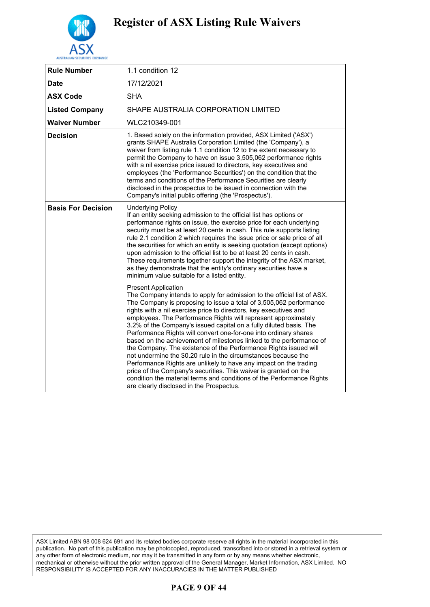

| <b>Rule Number</b>        | 1.1 condition 12                                                                                                                                                                                                                                                                                                                                                                                                                                                                                                                                                                                                                                                                                                                                                                                                                                                                                                                        |
|---------------------------|-----------------------------------------------------------------------------------------------------------------------------------------------------------------------------------------------------------------------------------------------------------------------------------------------------------------------------------------------------------------------------------------------------------------------------------------------------------------------------------------------------------------------------------------------------------------------------------------------------------------------------------------------------------------------------------------------------------------------------------------------------------------------------------------------------------------------------------------------------------------------------------------------------------------------------------------|
| Date                      | 17/12/2021                                                                                                                                                                                                                                                                                                                                                                                                                                                                                                                                                                                                                                                                                                                                                                                                                                                                                                                              |
| <b>ASX Code</b>           | <b>SHA</b>                                                                                                                                                                                                                                                                                                                                                                                                                                                                                                                                                                                                                                                                                                                                                                                                                                                                                                                              |
| <b>Listed Company</b>     | SHAPE AUSTRALIA CORPORATION LIMITED                                                                                                                                                                                                                                                                                                                                                                                                                                                                                                                                                                                                                                                                                                                                                                                                                                                                                                     |
| <b>Waiver Number</b>      | WLC210349-001                                                                                                                                                                                                                                                                                                                                                                                                                                                                                                                                                                                                                                                                                                                                                                                                                                                                                                                           |
| <b>Decision</b>           | 1. Based solely on the information provided, ASX Limited ('ASX')<br>grants SHAPE Australia Corporation Limited (the 'Company'), a<br>waiver from listing rule 1.1 condition 12 to the extent necessary to<br>permit the Company to have on issue 3,505,062 performance rights<br>with a nil exercise price issued to directors, key executives and<br>employees (the 'Performance Securities') on the condition that the<br>terms and conditions of the Performance Securities are clearly<br>disclosed in the prospectus to be issued in connection with the<br>Company's initial public offering (the 'Prospectus').                                                                                                                                                                                                                                                                                                                  |
| <b>Basis For Decision</b> | <b>Underlying Policy</b><br>If an entity seeking admission to the official list has options or<br>performance rights on issue, the exercise price for each underlying<br>security must be at least 20 cents in cash. This rule supports listing<br>rule 2.1 condition 2 which requires the issue price or sale price of all<br>the securities for which an entity is seeking quotation (except options)<br>upon admission to the official list to be at least 20 cents in cash.<br>These requirements together support the integrity of the ASX market,<br>as they demonstrate that the entity's ordinary securities have a<br>minimum value suitable for a listed entity.                                                                                                                                                                                                                                                              |
|                           | <b>Present Application</b><br>The Company intends to apply for admission to the official list of ASX.<br>The Company is proposing to issue a total of 3,505,062 performance<br>rights with a nil exercise price to directors, key executives and<br>employees. The Performance Rights will represent approximately<br>3.2% of the Company's issued capital on a fully diluted basis. The<br>Performance Rights will convert one-for-one into ordinary shares<br>based on the achievement of milestones linked to the performance of<br>the Company. The existence of the Performance Rights issued will<br>not undermine the \$0.20 rule in the circumstances because the<br>Performance Rights are unlikely to have any impact on the trading<br>price of the Company's securities. This waiver is granted on the<br>condition the material terms and conditions of the Performance Rights<br>are clearly disclosed in the Prospectus. |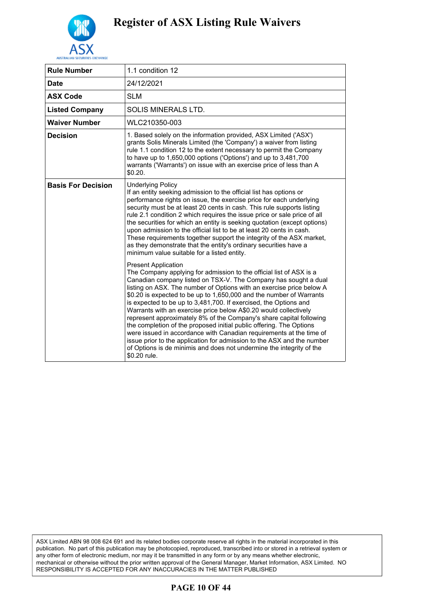

| <b>Rule Number</b>        | 1.1 condition 12                                                                                                                                                                                                                                                                                                                                                                                                                                                                                                                                                                                                                                                                                                                                                                                                                                   |
|---------------------------|----------------------------------------------------------------------------------------------------------------------------------------------------------------------------------------------------------------------------------------------------------------------------------------------------------------------------------------------------------------------------------------------------------------------------------------------------------------------------------------------------------------------------------------------------------------------------------------------------------------------------------------------------------------------------------------------------------------------------------------------------------------------------------------------------------------------------------------------------|
| <b>Date</b>               | 24/12/2021                                                                                                                                                                                                                                                                                                                                                                                                                                                                                                                                                                                                                                                                                                                                                                                                                                         |
| <b>ASX Code</b>           | <b>SLM</b>                                                                                                                                                                                                                                                                                                                                                                                                                                                                                                                                                                                                                                                                                                                                                                                                                                         |
| <b>Listed Company</b>     | <b>SOLIS MINERALS LTD.</b>                                                                                                                                                                                                                                                                                                                                                                                                                                                                                                                                                                                                                                                                                                                                                                                                                         |
| <b>Waiver Number</b>      | WLC210350-003                                                                                                                                                                                                                                                                                                                                                                                                                                                                                                                                                                                                                                                                                                                                                                                                                                      |
| <b>Decision</b>           | 1. Based solely on the information provided, ASX Limited ('ASX')<br>grants Solis Minerals Limited (the 'Company') a waiver from listing<br>rule 1.1 condition 12 to the extent necessary to permit the Company<br>to have up to 1,650,000 options ('Options') and up to 3,481,700<br>warrants ('Warrants') on issue with an exercise price of less than A<br>\$0.20.                                                                                                                                                                                                                                                                                                                                                                                                                                                                               |
| <b>Basis For Decision</b> | <b>Underlying Policy</b><br>If an entity seeking admission to the official list has options or<br>performance rights on issue, the exercise price for each underlying<br>security must be at least 20 cents in cash. This rule supports listing<br>rule 2.1 condition 2 which requires the issue price or sale price of all<br>the securities for which an entity is seeking quotation (except options)<br>upon admission to the official list to be at least 20 cents in cash.<br>These requirements together support the integrity of the ASX market,<br>as they demonstrate that the entity's ordinary securities have a<br>minimum value suitable for a listed entity.                                                                                                                                                                         |
|                           | <b>Present Application</b><br>The Company applying for admission to the official list of ASX is a<br>Canadian company listed on TSX-V. The Company has sought a dual<br>listing on ASX. The number of Options with an exercise price below A<br>\$0.20 is expected to be up to 1,650,000 and the number of Warrants<br>is expected to be up to 3,481,700. If exercised, the Options and<br>Warrants with an exercise price below A\$0.20 would collectively<br>represent approximately 8% of the Company's share capital following<br>the completion of the proposed initial public offering. The Options<br>were issued in accordance with Canadian requirements at the time of<br>issue prior to the application for admission to the ASX and the number<br>of Options is de minimis and does not undermine the integrity of the<br>\$0.20 rule. |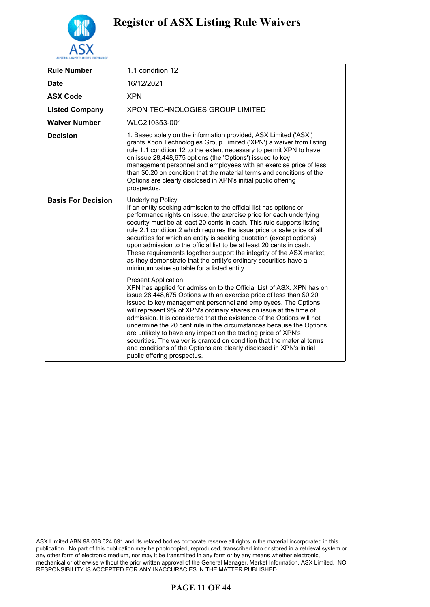

| <b>Rule Number</b>        | 1.1 condition 12                                                                                                                                                                                                                                                                                                                                                                                                                                                                                                                                                                                                                                                                                                     |
|---------------------------|----------------------------------------------------------------------------------------------------------------------------------------------------------------------------------------------------------------------------------------------------------------------------------------------------------------------------------------------------------------------------------------------------------------------------------------------------------------------------------------------------------------------------------------------------------------------------------------------------------------------------------------------------------------------------------------------------------------------|
| <b>Date</b>               | 16/12/2021                                                                                                                                                                                                                                                                                                                                                                                                                                                                                                                                                                                                                                                                                                           |
| <b>ASX Code</b>           | <b>XPN</b>                                                                                                                                                                                                                                                                                                                                                                                                                                                                                                                                                                                                                                                                                                           |
| <b>Listed Company</b>     | <b>XPON TECHNOLOGIES GROUP LIMITED</b>                                                                                                                                                                                                                                                                                                                                                                                                                                                                                                                                                                                                                                                                               |
| <b>Waiver Number</b>      | WLC210353-001                                                                                                                                                                                                                                                                                                                                                                                                                                                                                                                                                                                                                                                                                                        |
| <b>Decision</b>           | 1. Based solely on the information provided, ASX Limited ('ASX')<br>grants Xpon Technologies Group Limited ('XPN') a waiver from listing<br>rule 1.1 condition 12 to the extent necessary to permit XPN to have<br>on issue 28,448,675 options (the 'Options') issued to key<br>management personnel and employees with an exercise price of less<br>than \$0.20 on condition that the material terms and conditions of the<br>Options are clearly disclosed in XPN's initial public offering<br>prospectus.                                                                                                                                                                                                         |
| <b>Basis For Decision</b> | <b>Underlying Policy</b><br>If an entity seeking admission to the official list has options or<br>performance rights on issue, the exercise price for each underlying<br>security must be at least 20 cents in cash. This rule supports listing<br>rule 2.1 condition 2 which requires the issue price or sale price of all<br>securities for which an entity is seeking quotation (except options)<br>upon admission to the official list to be at least 20 cents in cash.<br>These requirements together support the integrity of the ASX market,<br>as they demonstrate that the entity's ordinary securities have a<br>minimum value suitable for a listed entity.                                               |
|                           | <b>Present Application</b><br>XPN has applied for admission to the Official List of ASX. XPN has on<br>issue 28,448,675 Options with an exercise price of less than \$0.20<br>issued to key management personnel and employees. The Options<br>will represent 9% of XPN's ordinary shares on issue at the time of<br>admission. It is considered that the existence of the Options will not<br>undermine the 20 cent rule in the circumstances because the Options<br>are unlikely to have any impact on the trading price of XPN's<br>securities. The waiver is granted on condition that the material terms<br>and conditions of the Options are clearly disclosed in XPN's initial<br>public offering prospectus. |

ASX Limited ABN 98 008 624 691 and its related bodies corporate reserve all rights in the material incorporated in this publication. No part of this publication may be photocopied, reproduced, transcribed into or stored in a retrieval system or any other form of electronic medium, nor may it be transmitted in any form or by any means whether electronic, mechanical or otherwise without the prior written approval of the General Manager, Market Information, ASX Limited. NO RESPONSIBILITY IS ACCEPTED FOR ANY INACCURACIES IN THE MATTER PUBLISHED

### **PAGE 11 OF 44**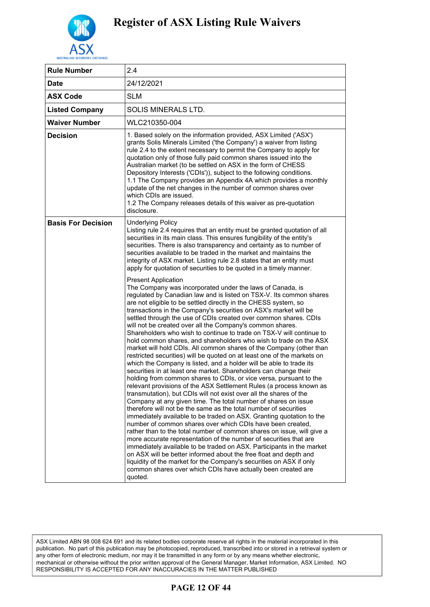

| <b>Rule Number</b>        | 2.4                                                                                                                                                                                                                                                                                                                                                                                                                                                                                                                                                                                                                                                                                                                                                                                                                                                                                                                                                                                                                                                                                                                                                                                                                                                                                                                                                                                                                                                                                                                                                                                                                                                                                                                                                                                                                            |
|---------------------------|--------------------------------------------------------------------------------------------------------------------------------------------------------------------------------------------------------------------------------------------------------------------------------------------------------------------------------------------------------------------------------------------------------------------------------------------------------------------------------------------------------------------------------------------------------------------------------------------------------------------------------------------------------------------------------------------------------------------------------------------------------------------------------------------------------------------------------------------------------------------------------------------------------------------------------------------------------------------------------------------------------------------------------------------------------------------------------------------------------------------------------------------------------------------------------------------------------------------------------------------------------------------------------------------------------------------------------------------------------------------------------------------------------------------------------------------------------------------------------------------------------------------------------------------------------------------------------------------------------------------------------------------------------------------------------------------------------------------------------------------------------------------------------------------------------------------------------|
| <b>Date</b>               | 24/12/2021                                                                                                                                                                                                                                                                                                                                                                                                                                                                                                                                                                                                                                                                                                                                                                                                                                                                                                                                                                                                                                                                                                                                                                                                                                                                                                                                                                                                                                                                                                                                                                                                                                                                                                                                                                                                                     |
| <b>ASX Code</b>           | <b>SLM</b>                                                                                                                                                                                                                                                                                                                                                                                                                                                                                                                                                                                                                                                                                                                                                                                                                                                                                                                                                                                                                                                                                                                                                                                                                                                                                                                                                                                                                                                                                                                                                                                                                                                                                                                                                                                                                     |
| <b>Listed Company</b>     | <b>SOLIS MINERALS LTD.</b>                                                                                                                                                                                                                                                                                                                                                                                                                                                                                                                                                                                                                                                                                                                                                                                                                                                                                                                                                                                                                                                                                                                                                                                                                                                                                                                                                                                                                                                                                                                                                                                                                                                                                                                                                                                                     |
| <b>Waiver Number</b>      | WLC210350-004                                                                                                                                                                                                                                                                                                                                                                                                                                                                                                                                                                                                                                                                                                                                                                                                                                                                                                                                                                                                                                                                                                                                                                                                                                                                                                                                                                                                                                                                                                                                                                                                                                                                                                                                                                                                                  |
| <b>Decision</b>           | 1. Based solely on the information provided, ASX Limited ('ASX')<br>grants Solis Minerals Limited ('the Company') a waiver from listing<br>rule 2.4 to the extent necessary to permit the Company to apply for<br>quotation only of those fully paid common shares issued into the<br>Australian market (to be settled on ASX in the form of CHESS<br>Depository Interests ('CDIs')), subject to the following conditions.<br>1.1 The Company provides an Appendix 4A which provides a monthly<br>update of the net changes in the number of common shares over<br>which CDIs are issued.<br>1.2 The Company releases details of this waiver as pre-quotation<br>disclosure.                                                                                                                                                                                                                                                                                                                                                                                                                                                                                                                                                                                                                                                                                                                                                                                                                                                                                                                                                                                                                                                                                                                                                   |
| <b>Basis For Decision</b> | <b>Underlying Policy</b><br>Listing rule 2.4 requires that an entity must be granted quotation of all<br>securities in its main class. This ensures fungibility of the entity's<br>securities. There is also transparency and certainty as to number of<br>securities available to be traded in the market and maintains the<br>integrity of ASX market. Listing rule 2.8 states that an entity must<br>apply for quotation of securities to be quoted in a timely manner.                                                                                                                                                                                                                                                                                                                                                                                                                                                                                                                                                                                                                                                                                                                                                                                                                                                                                                                                                                                                                                                                                                                                                                                                                                                                                                                                                     |
|                           | <b>Present Application</b><br>The Company was incorporated under the laws of Canada, is<br>regulated by Canadian law and is listed on TSX-V. Its common shares<br>are not eligible to be settled directly in the CHESS system, so<br>transactions in the Company's securities on ASX's market will be<br>settled through the use of CDIs created over common shares. CDIs<br>will not be created over all the Company's common shares.<br>Shareholders who wish to continue to trade on TSX-V will continue to<br>hold common shares, and shareholders who wish to trade on the ASX<br>market will hold CDIs. All common shares of the Company (other than<br>restricted securities) will be quoted on at least one of the markets on<br>which the Company is listed, and a holder will be able to trade its<br>securities in at least one market. Shareholders can change their<br>holding from common shares to CDIs, or vice versa, pursuant to the<br>relevant provisions of the ASX Settlement Rules (a process known as<br>transmutation), but CDIs will not exist over all the shares of the<br>Company at any given time. The total number of shares on issue<br>therefore will not be the same as the total number of securities<br>immediately available to be traded on ASX. Granting quotation to the<br>number of common shares over which CDIs have been created,<br>rather than to the total number of common shares on issue, will give a<br>more accurate representation of the number of securities that are<br>immediately available to be traded on ASX. Participants in the market<br>on ASX will be better informed about the free float and depth and<br>liquidity of the market for the Company's securities on ASX if only<br>common shares over which CDIs have actually been created are<br>quoted. |

### **PAGE 12 OF 44**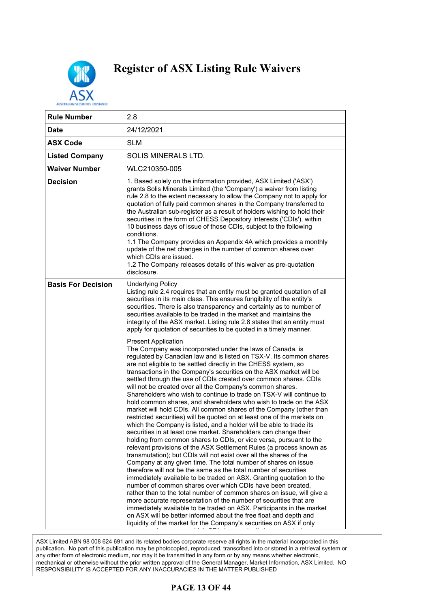

| <b>Rule Number</b>        | 2.8                                                                                                                                                                                                                                                                                                                                                                                                                                                                                                                                                                                                                                                                                                                                                                                                                                                                                                                                                                                                                                                                                                                                                                                                                                                                                                                                                                                                                                                                                                                                                                                                                                                                                                                                                   |
|---------------------------|-------------------------------------------------------------------------------------------------------------------------------------------------------------------------------------------------------------------------------------------------------------------------------------------------------------------------------------------------------------------------------------------------------------------------------------------------------------------------------------------------------------------------------------------------------------------------------------------------------------------------------------------------------------------------------------------------------------------------------------------------------------------------------------------------------------------------------------------------------------------------------------------------------------------------------------------------------------------------------------------------------------------------------------------------------------------------------------------------------------------------------------------------------------------------------------------------------------------------------------------------------------------------------------------------------------------------------------------------------------------------------------------------------------------------------------------------------------------------------------------------------------------------------------------------------------------------------------------------------------------------------------------------------------------------------------------------------------------------------------------------------|
| <b>Date</b>               | 24/12/2021                                                                                                                                                                                                                                                                                                                                                                                                                                                                                                                                                                                                                                                                                                                                                                                                                                                                                                                                                                                                                                                                                                                                                                                                                                                                                                                                                                                                                                                                                                                                                                                                                                                                                                                                            |
| <b>ASX Code</b>           | <b>SLM</b>                                                                                                                                                                                                                                                                                                                                                                                                                                                                                                                                                                                                                                                                                                                                                                                                                                                                                                                                                                                                                                                                                                                                                                                                                                                                                                                                                                                                                                                                                                                                                                                                                                                                                                                                            |
| <b>Listed Company</b>     | SOLIS MINERALS LTD.                                                                                                                                                                                                                                                                                                                                                                                                                                                                                                                                                                                                                                                                                                                                                                                                                                                                                                                                                                                                                                                                                                                                                                                                                                                                                                                                                                                                                                                                                                                                                                                                                                                                                                                                   |
| <b>Waiver Number</b>      | WLC210350-005                                                                                                                                                                                                                                                                                                                                                                                                                                                                                                                                                                                                                                                                                                                                                                                                                                                                                                                                                                                                                                                                                                                                                                                                                                                                                                                                                                                                                                                                                                                                                                                                                                                                                                                                         |
| <b>Decision</b>           | 1. Based solely on the information provided, ASX Limited ('ASX')<br>grants Solis Minerals Limited (the 'Company') a waiver from listing<br>rule 2.8 to the extent necessary to allow the Company not to apply for<br>quotation of fully paid common shares in the Company transferred to<br>the Australian sub-register as a result of holders wishing to hold their<br>securities in the form of CHESS Depository Interests ('CDIs'), within<br>10 business days of issue of those CDIs, subject to the following<br>conditions.<br>1.1 The Company provides an Appendix 4A which provides a monthly<br>update of the net changes in the number of common shares over<br>which CDIs are issued.<br>1.2 The Company releases details of this waiver as pre-quotation<br>disclosure.                                                                                                                                                                                                                                                                                                                                                                                                                                                                                                                                                                                                                                                                                                                                                                                                                                                                                                                                                                   |
| <b>Basis For Decision</b> | <b>Underlying Policy</b><br>Listing rule 2.4 requires that an entity must be granted quotation of all<br>securities in its main class. This ensures fungibility of the entity's<br>securities. There is also transparency and certainty as to number of<br>securities available to be traded in the market and maintains the<br>integrity of the ASX market. Listing rule 2.8 states that an entity must<br>apply for quotation of securities to be quoted in a timely manner.                                                                                                                                                                                                                                                                                                                                                                                                                                                                                                                                                                                                                                                                                                                                                                                                                                                                                                                                                                                                                                                                                                                                                                                                                                                                        |
|                           | <b>Present Application</b><br>The Company was incorporated under the laws of Canada, is<br>regulated by Canadian law and is listed on TSX-V. Its common shares<br>are not eligible to be settled directly in the CHESS system, so<br>transactions in the Company's securities on the ASX market will be<br>settled through the use of CDIs created over common shares. CDIs<br>will not be created over all the Company's common shares.<br>Shareholders who wish to continue to trade on TSX-V will continue to<br>hold common shares, and shareholders who wish to trade on the ASX<br>market will hold CDIs. All common shares of the Company (other than<br>restricted securities) will be quoted on at least one of the markets on<br>which the Company is listed, and a holder will be able to trade its<br>securities in at least one market. Shareholders can change their<br>holding from common shares to CDIs, or vice versa, pursuant to the<br>relevant provisions of the ASX Settlement Rules (a process known as<br>transmutation); but CDIs will not exist over all the shares of the<br>Company at any given time. The total number of shares on issue<br>therefore will not be the same as the total number of securities<br>immediately available to be traded on ASX. Granting quotation to the<br>number of common shares over which CDIs have been created,<br>rather than to the total number of common shares on issue, will give a<br>more accurate representation of the number of securities that are<br>immediately available to be traded on ASX. Participants in the market<br>on ASX will be better informed about the free float and depth and<br>liquidity of the market for the Company's securities on ASX if only |

ASX Limited ABN 98 008 624 691 and its related bodies corporate reserve all rights in the material incorporated in this publication. No part of this publication may be photocopied, reproduced, transcribed into or stored in a retrieval system or any other form of electronic medium, nor may it be transmitted in any form or by any means whether electronic, mechanical or otherwise without the prior written approval of the General Manager, Market Information, ASX Limited. NO RESPONSIBILITY IS ACCEPTED FOR ANY INACCURACIES IN THE MATTER PUBLISHED

### **PAGE 13 OF 44**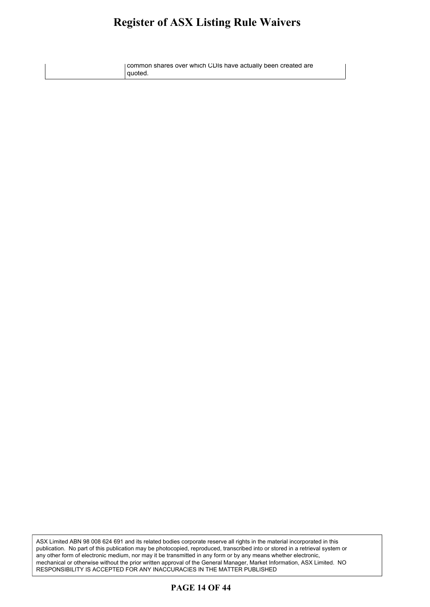#### **Register of ASX Listing Rule Waivers** oister of ASX Listino Rule Waivers **called**  $\mathbf{e}$

common shares over which CDIs have actually been created are quoted.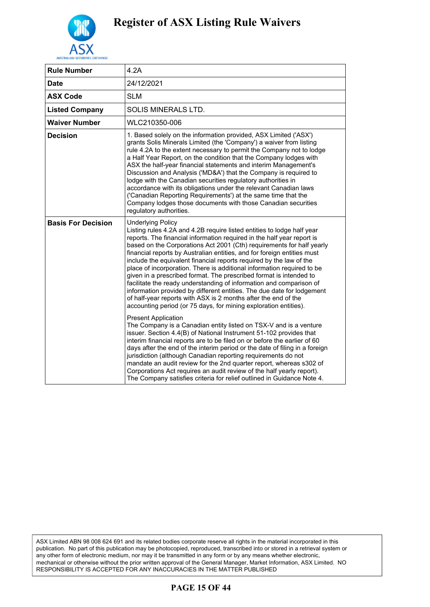

| <b>Rule Number</b>        | 4.2A                                                                                                                                                                                                                                                                                                                                                                                                                                                                                                                                                                                                                                                                                                                                                                                                                                           |
|---------------------------|------------------------------------------------------------------------------------------------------------------------------------------------------------------------------------------------------------------------------------------------------------------------------------------------------------------------------------------------------------------------------------------------------------------------------------------------------------------------------------------------------------------------------------------------------------------------------------------------------------------------------------------------------------------------------------------------------------------------------------------------------------------------------------------------------------------------------------------------|
| <b>Date</b>               | 24/12/2021                                                                                                                                                                                                                                                                                                                                                                                                                                                                                                                                                                                                                                                                                                                                                                                                                                     |
| <b>ASX Code</b>           | <b>SLM</b>                                                                                                                                                                                                                                                                                                                                                                                                                                                                                                                                                                                                                                                                                                                                                                                                                                     |
| <b>Listed Company</b>     | SOLIS MINERALS LTD.                                                                                                                                                                                                                                                                                                                                                                                                                                                                                                                                                                                                                                                                                                                                                                                                                            |
| <b>Waiver Number</b>      | WLC210350-006                                                                                                                                                                                                                                                                                                                                                                                                                                                                                                                                                                                                                                                                                                                                                                                                                                  |
| <b>Decision</b>           | 1. Based solely on the information provided, ASX Limited ('ASX')<br>grants Solis Minerals Limited (the 'Company') a waiver from listing<br>rule 4.2A to the extent necessary to permit the Company not to lodge<br>a Half Year Report, on the condition that the Company lodges with<br>ASX the half-year financial statements and interim Management's<br>Discussion and Analysis ('MD&A') that the Company is required to<br>lodge with the Canadian securities regulatory authorities in<br>accordance with its obligations under the relevant Canadian laws<br>('Canadian Reporting Requirements') at the same time that the<br>Company lodges those documents with those Canadian securities<br>regulatory authorities.                                                                                                                   |
| <b>Basis For Decision</b> | <b>Underlying Policy</b><br>Listing rules 4.2A and 4.2B require listed entities to lodge half year<br>reports. The financial information required in the half year report is<br>based on the Corporations Act 2001 (Cth) requirements for half yearly<br>financial reports by Australian entities, and for foreign entities must<br>include the equivalent financial reports required by the law of the<br>place of incorporation. There is additional information required to be<br>given in a prescribed format. The prescribed format is intended to<br>facilitate the ready understanding of information and comparison of<br>information provided by different entities. The due date for lodgement<br>of half-year reports with ASX is 2 months after the end of the<br>accounting period (or 75 days, for mining exploration entities). |
|                           | <b>Present Application</b><br>The Company is a Canadian entity listed on TSX-V and is a venture<br>issuer. Section 4.4(B) of National Instrument 51-102 provides that<br>interim financial reports are to be filed on or before the earlier of 60<br>days after the end of the interim period or the date of filing in a foreign<br>jurisdiction (although Canadian reporting requirements do not<br>mandate an audit review for the 2nd quarter report, whereas s302 of<br>Corporations Act requires an audit review of the half yearly report).<br>The Company satisfies criteria for relief outlined in Guidance Note 4.                                                                                                                                                                                                                    |

### **PAGE 15 OF 44**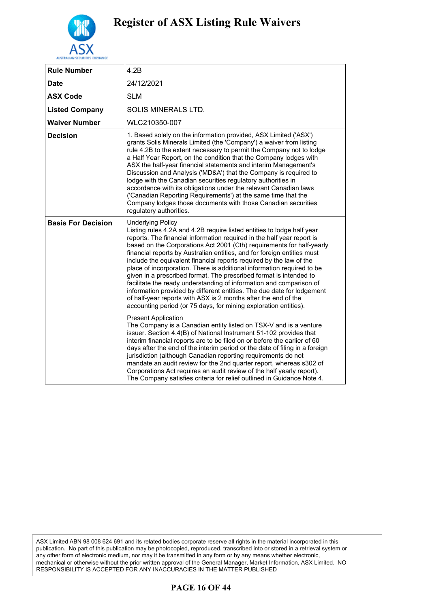

| <b>Rule Number</b>        | 4.2B                                                                                                                                                                                                                                                                                                                                                                                                                                                                                                                                                                                                                                                                                                                                                                                                                                           |
|---------------------------|------------------------------------------------------------------------------------------------------------------------------------------------------------------------------------------------------------------------------------------------------------------------------------------------------------------------------------------------------------------------------------------------------------------------------------------------------------------------------------------------------------------------------------------------------------------------------------------------------------------------------------------------------------------------------------------------------------------------------------------------------------------------------------------------------------------------------------------------|
| <b>Date</b>               | 24/12/2021                                                                                                                                                                                                                                                                                                                                                                                                                                                                                                                                                                                                                                                                                                                                                                                                                                     |
| <b>ASX Code</b>           | <b>SLM</b>                                                                                                                                                                                                                                                                                                                                                                                                                                                                                                                                                                                                                                                                                                                                                                                                                                     |
| <b>Listed Company</b>     | SOLIS MINERALS LTD.                                                                                                                                                                                                                                                                                                                                                                                                                                                                                                                                                                                                                                                                                                                                                                                                                            |
| <b>Waiver Number</b>      | WLC210350-007                                                                                                                                                                                                                                                                                                                                                                                                                                                                                                                                                                                                                                                                                                                                                                                                                                  |
| <b>Decision</b>           | 1. Based solely on the information provided, ASX Limited ('ASX')<br>grants Solis Minerals Limited (the 'Company') a waiver from listing<br>rule 4.2B to the extent necessary to permit the Company not to lodge<br>a Half Year Report, on the condition that the Company lodges with<br>ASX the half-year financial statements and interim Management's<br>Discussion and Analysis ('MD&A') that the Company is required to<br>lodge with the Canadian securities regulatory authorities in<br>accordance with its obligations under the relevant Canadian laws<br>('Canadian Reporting Requirements') at the same time that the<br>Company lodges those documents with those Canadian securities<br>regulatory authorities.                                                                                                                   |
| <b>Basis For Decision</b> | <b>Underlying Policy</b><br>Listing rules 4.2A and 4.2B require listed entities to lodge half year<br>reports. The financial information required in the half year report is<br>based on the Corporations Act 2001 (Cth) requirements for half-yearly<br>financial reports by Australian entities, and for foreign entities must<br>include the equivalent financial reports required by the law of the<br>place of incorporation. There is additional information required to be<br>given in a prescribed format. The prescribed format is intended to<br>facilitate the ready understanding of information and comparison of<br>information provided by different entities. The due date for lodgement<br>of half-year reports with ASX is 2 months after the end of the<br>accounting period (or 75 days, for mining exploration entities). |
|                           | <b>Present Application</b><br>The Company is a Canadian entity listed on TSX-V and is a venture<br>issuer. Section 4.4(B) of National Instrument 51-102 provides that<br>interim financial reports are to be filed on or before the earlier of 60<br>days after the end of the interim period or the date of filing in a foreign<br>jurisdiction (although Canadian reporting requirements do not<br>mandate an audit review for the 2nd quarter report, whereas s302 of<br>Corporations Act requires an audit review of the half yearly report).<br>The Company satisfies criteria for relief outlined in Guidance Note 4.                                                                                                                                                                                                                    |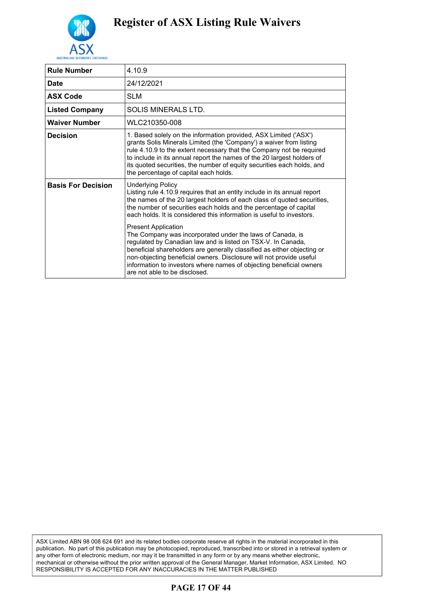

| <b>Rule Number</b>        | 4.10.9                                                                                                                                                                                                                                                                                                                                                                                                            |
|---------------------------|-------------------------------------------------------------------------------------------------------------------------------------------------------------------------------------------------------------------------------------------------------------------------------------------------------------------------------------------------------------------------------------------------------------------|
| <b>Date</b>               | 24/12/2021                                                                                                                                                                                                                                                                                                                                                                                                        |
| <b>ASX Code</b>           | <b>SLM</b>                                                                                                                                                                                                                                                                                                                                                                                                        |
| <b>Listed Company</b>     | SOLIS MINERALS LTD.                                                                                                                                                                                                                                                                                                                                                                                               |
| <b>Waiver Number</b>      | WLC210350-008                                                                                                                                                                                                                                                                                                                                                                                                     |
| <b>Decision</b>           | 1. Based solely on the information provided, ASX Limited ('ASX')<br>grants Solis Minerals Limited (the 'Company') a waiver from listing<br>rule 4.10.9 to the extent necessary that the Company not be required<br>to include in its annual report the names of the 20 largest holders of<br>its quoted securities, the number of equity securities each holds, and<br>the percentage of capital each holds.      |
| <b>Basis For Decision</b> | <b>Underlying Policy</b><br>Listing rule 4.10.9 requires that an entity include in its annual report<br>the names of the 20 largest holders of each class of quoted securities,<br>the number of securities each holds and the percentage of capital<br>each holds. It is considered this information is useful to investors.                                                                                     |
|                           | <b>Present Application</b><br>The Company was incorporated under the laws of Canada, is<br>regulated by Canadian law and is listed on TSX-V. In Canada,<br>beneficial shareholders are generally classified as either objecting or<br>non-objecting beneficial owners. Disclosure will not provide useful<br>information to investors where names of objecting beneficial owners<br>are not able to be disclosed. |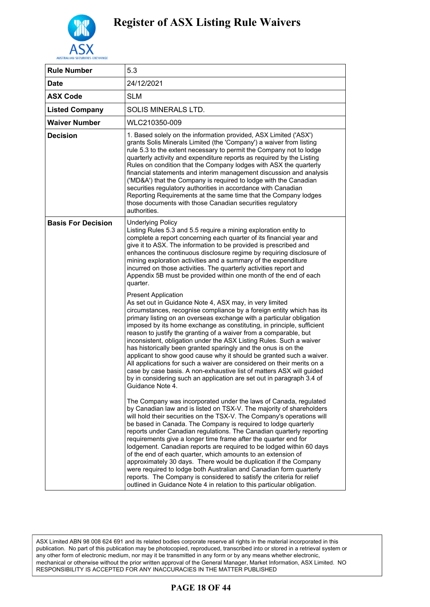

| <b>Rule Number</b>        | 5.3                                                                                                                                                                                                                                                                                                                                                                                                                                                                                                                                                                                                                                                                                                                                                                                                                                                                  |
|---------------------------|----------------------------------------------------------------------------------------------------------------------------------------------------------------------------------------------------------------------------------------------------------------------------------------------------------------------------------------------------------------------------------------------------------------------------------------------------------------------------------------------------------------------------------------------------------------------------------------------------------------------------------------------------------------------------------------------------------------------------------------------------------------------------------------------------------------------------------------------------------------------|
| <b>Date</b>               | 24/12/2021                                                                                                                                                                                                                                                                                                                                                                                                                                                                                                                                                                                                                                                                                                                                                                                                                                                           |
| <b>ASX Code</b>           | <b>SLM</b>                                                                                                                                                                                                                                                                                                                                                                                                                                                                                                                                                                                                                                                                                                                                                                                                                                                           |
| <b>Listed Company</b>     | SOLIS MINERALS LTD.                                                                                                                                                                                                                                                                                                                                                                                                                                                                                                                                                                                                                                                                                                                                                                                                                                                  |
| <b>Waiver Number</b>      | WLC210350-009                                                                                                                                                                                                                                                                                                                                                                                                                                                                                                                                                                                                                                                                                                                                                                                                                                                        |
| <b>Decision</b>           | 1. Based solely on the information provided, ASX Limited ('ASX')<br>grants Solis Minerals Limited (the 'Company') a waiver from listing<br>rule 5.3 to the extent necessary to permit the Company not to lodge<br>quarterly activity and expenditure reports as required by the Listing<br>Rules on condition that the Company lodges with ASX the quarterly<br>financial statements and interim management discussion and analysis<br>('MD&A') that the Company is required to lodge with the Canadian<br>securities regulatory authorities in accordance with Canadian<br>Reporting Requirements at the same time that the Company lodges<br>those documents with those Canadian securities regulatory<br>authorities.                                                                                                                                             |
| <b>Basis For Decision</b> | <b>Underlying Policy</b><br>Listing Rules 5.3 and 5.5 require a mining exploration entity to<br>complete a report concerning each quarter of its financial year and<br>give it to ASX. The information to be provided is prescribed and<br>enhances the continuous disclosure regime by requiring disclosure of<br>mining exploration activities and a summary of the expenditure<br>incurred on those activities. The quarterly activities report and<br>Appendix 5B must be provided within one month of the end of each<br>quarter.                                                                                                                                                                                                                                                                                                                               |
|                           | <b>Present Application</b><br>As set out in Guidance Note 4, ASX may, in very limited<br>circumstances, recognise compliance by a foreign entity which has its<br>primary listing on an overseas exchange with a particular obligation<br>imposed by its home exchange as constituting, in principle, sufficient<br>reason to justify the granting of a waiver from a comparable, but<br>inconsistent, obligation under the ASX Listing Rules. Such a waiver<br>has historically been granted sparingly and the onus is on the<br>applicant to show good cause why it should be granted such a waiver.<br>All applications for such a waiver are considered on their merits on a<br>case by case basis. A non-exhaustive list of matters ASX will guided<br>by in considering such an application are set out in paragraph 3.4 of<br>Guidance Note 4.                |
|                           | The Company was incorporated under the laws of Canada, regulated<br>by Canadian law and is listed on TSX-V. The majority of shareholders<br>will hold their securities on the TSX-V. The Company's operations will<br>be based in Canada. The Company is required to lodge quarterly<br>reports under Canadian regulations. The Canadian quarterly reporting<br>requirements give a longer time frame after the quarter end for<br>lodgement. Canadian reports are required to be lodged within 60 days<br>of the end of each quarter, which amounts to an extension of<br>approximately 30 days. There would be duplication if the Company<br>were required to lodge both Australian and Canadian form quarterly<br>reports. The Company is considered to satisfy the criteria for relief<br>outlined in Guidance Note 4 in relation to this particular obligation. |

### **PAGE 18 OF 44**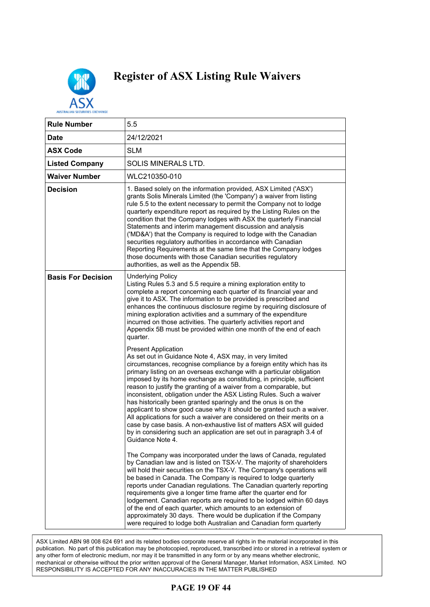

| <b>Rule Number</b>        | 5.5                                                                                                                                                                                                                                                                                                                                                                                                                                                                                                                                                                                                                                                                                                                                                                                                                                                   |
|---------------------------|-------------------------------------------------------------------------------------------------------------------------------------------------------------------------------------------------------------------------------------------------------------------------------------------------------------------------------------------------------------------------------------------------------------------------------------------------------------------------------------------------------------------------------------------------------------------------------------------------------------------------------------------------------------------------------------------------------------------------------------------------------------------------------------------------------------------------------------------------------|
| <b>Date</b>               | 24/12/2021                                                                                                                                                                                                                                                                                                                                                                                                                                                                                                                                                                                                                                                                                                                                                                                                                                            |
| <b>ASX Code</b>           | <b>SLM</b>                                                                                                                                                                                                                                                                                                                                                                                                                                                                                                                                                                                                                                                                                                                                                                                                                                            |
| <b>Listed Company</b>     | SOLIS MINERALS LTD.                                                                                                                                                                                                                                                                                                                                                                                                                                                                                                                                                                                                                                                                                                                                                                                                                                   |
| <b>Waiver Number</b>      | WLC210350-010                                                                                                                                                                                                                                                                                                                                                                                                                                                                                                                                                                                                                                                                                                                                                                                                                                         |
| <b>Decision</b>           | 1. Based solely on the information provided, ASX Limited ('ASX')<br>grants Solis Minerals Limited (the 'Company') a waiver from listing<br>rule 5.5 to the extent necessary to permit the Company not to lodge<br>quarterly expenditure report as required by the Listing Rules on the<br>condition that the Company lodges with ASX the quarterly Financial<br>Statements and interim management discussion and analysis<br>('MD&A') that the Company is required to lodge with the Canadian<br>securities regulatory authorities in accordance with Canadian<br>Reporting Requirements at the same time that the Company lodges<br>those documents with those Canadian securities regulatory<br>authorities, as well as the Appendix 5B.                                                                                                            |
| <b>Basis For Decision</b> | <b>Underlying Policy</b><br>Listing Rules 5.3 and 5.5 require a mining exploration entity to<br>complete a report concerning each quarter of its financial year and<br>give it to ASX. The information to be provided is prescribed and<br>enhances the continuous disclosure regime by requiring disclosure of<br>mining exploration activities and a summary of the expenditure<br>incurred on those activities. The quarterly activities report and<br>Appendix 5B must be provided within one month of the end of each<br>quarter.                                                                                                                                                                                                                                                                                                                |
|                           | <b>Present Application</b><br>As set out in Guidance Note 4, ASX may, in very limited<br>circumstances, recognise compliance by a foreign entity which has its<br>primary listing on an overseas exchange with a particular obligation<br>imposed by its home exchange as constituting, in principle, sufficient<br>reason to justify the granting of a waiver from a comparable, but<br>inconsistent, obligation under the ASX Listing Rules. Such a waiver<br>has historically been granted sparingly and the onus is on the<br>applicant to show good cause why it should be granted such a waiver.<br>All applications for such a waiver are considered on their merits on a<br>case by case basis. A non-exhaustive list of matters ASX will guided<br>by in considering such an application are set out in paragraph 3.4 of<br>Guidance Note 4. |
|                           | The Company was incorporated under the laws of Canada, regulated<br>by Canadian law and is listed on TSX-V. The majority of shareholders<br>will hold their securities on the TSX-V. The Company's operations will<br>be based in Canada. The Company is required to lodge quarterly<br>reports under Canadian regulations. The Canadian quarterly reporting<br>requirements give a longer time frame after the quarter end for<br>lodgement. Canadian reports are required to be lodged within 60 days<br>of the end of each quarter, which amounts to an extension of<br>approximately 30 days. There would be duplication if the Company<br>were required to lodge both Australian and Canadian form quarterly                                                                                                                                     |

ASX Limited ABN 98 008 624 691 and its related bodies corporate reserve all rights in the material incorporated in this publication. No part of this publication may be photocopied, reproduced, transcribed into or stored in a retrieval system or any other form of electronic medium, nor may it be transmitted in any form or by any means whether electronic, mechanical or otherwise without the prior written approval of the General Manager, Market Information, ASX Limited. NO RESPONSIBILITY IS ACCEPTED FOR ANY INACCURACIES IN THE MATTER PUBLISHED

### **PAGE 19 OF 44**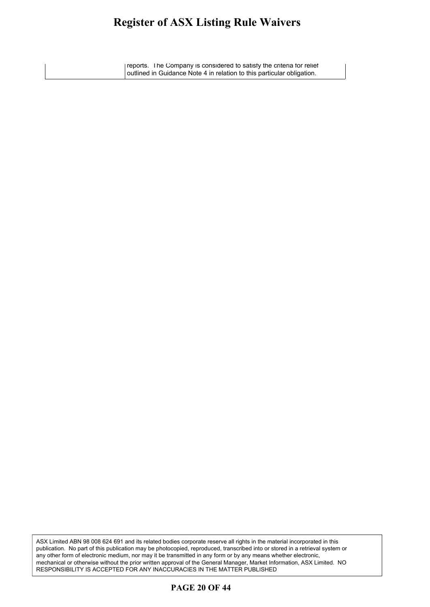#### **Register of ASX Listing Rule Waivers** oister of ASX Listino Rule Waivers. The Ca  $\mathbf{e}^{\text{r}}$

reports. The Company is considered to satisfy the criteria for relief outlined in Guidance Note 4 in relation to this particular obligation.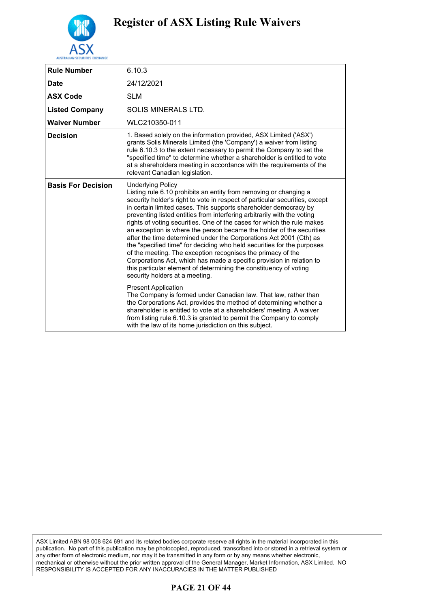

| <b>Rule Number</b>        | 6.10.3                                                                                                                                                                                                                                                                                                                                                                                                                                                                                                                                                                                                                                                                                                                                                                                                                                                                                                                                                                                                                                                                                                                                                                                            |
|---------------------------|---------------------------------------------------------------------------------------------------------------------------------------------------------------------------------------------------------------------------------------------------------------------------------------------------------------------------------------------------------------------------------------------------------------------------------------------------------------------------------------------------------------------------------------------------------------------------------------------------------------------------------------------------------------------------------------------------------------------------------------------------------------------------------------------------------------------------------------------------------------------------------------------------------------------------------------------------------------------------------------------------------------------------------------------------------------------------------------------------------------------------------------------------------------------------------------------------|
| <b>Date</b>               | 24/12/2021                                                                                                                                                                                                                                                                                                                                                                                                                                                                                                                                                                                                                                                                                                                                                                                                                                                                                                                                                                                                                                                                                                                                                                                        |
| <b>ASX Code</b>           | <b>SLM</b>                                                                                                                                                                                                                                                                                                                                                                                                                                                                                                                                                                                                                                                                                                                                                                                                                                                                                                                                                                                                                                                                                                                                                                                        |
| <b>Listed Company</b>     | SOLIS MINERALS LTD.                                                                                                                                                                                                                                                                                                                                                                                                                                                                                                                                                                                                                                                                                                                                                                                                                                                                                                                                                                                                                                                                                                                                                                               |
| <b>Waiver Number</b>      | WLC210350-011                                                                                                                                                                                                                                                                                                                                                                                                                                                                                                                                                                                                                                                                                                                                                                                                                                                                                                                                                                                                                                                                                                                                                                                     |
| <b>Decision</b>           | 1. Based solely on the information provided, ASX Limited ('ASX')<br>grants Solis Minerals Limited (the 'Company') a waiver from listing<br>rule 6.10.3 to the extent necessary to permit the Company to set the<br>"specified time" to determine whether a shareholder is entitled to vote<br>at a shareholders meeting in accordance with the requirements of the<br>relevant Canadian legislation.                                                                                                                                                                                                                                                                                                                                                                                                                                                                                                                                                                                                                                                                                                                                                                                              |
| <b>Basis For Decision</b> | <b>Underlying Policy</b><br>Listing rule 6.10 prohibits an entity from removing or changing a<br>security holder's right to vote in respect of particular securities, except<br>in certain limited cases. This supports shareholder democracy by<br>preventing listed entities from interfering arbitrarily with the voting<br>rights of voting securities. One of the cases for which the rule makes<br>an exception is where the person became the holder of the securities<br>after the time determined under the Corporations Act 2001 (Cth) as<br>the "specified time" for deciding who held securities for the purposes<br>of the meeting. The exception recognises the primacy of the<br>Corporations Act, which has made a specific provision in relation to<br>this particular element of determining the constituency of voting<br>security holders at a meeting.<br><b>Present Application</b><br>The Company is formed under Canadian law. That law, rather than<br>the Corporations Act, provides the method of determining whether a<br>shareholder is entitled to vote at a shareholders' meeting. A waiver<br>from listing rule 6.10.3 is granted to permit the Company to comply |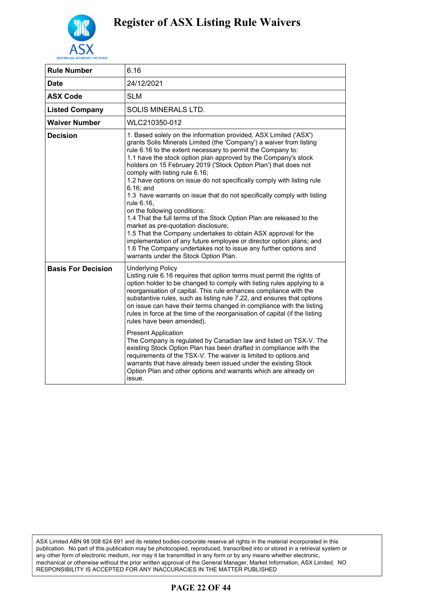

| <b>Rule Number</b>        | 6.16                                                                                                                                                                                                                                                                                                                                                                                                                                                                                                                                                                                                                                                                                                                                                                                                                                                                                                                                                                 |
|---------------------------|----------------------------------------------------------------------------------------------------------------------------------------------------------------------------------------------------------------------------------------------------------------------------------------------------------------------------------------------------------------------------------------------------------------------------------------------------------------------------------------------------------------------------------------------------------------------------------------------------------------------------------------------------------------------------------------------------------------------------------------------------------------------------------------------------------------------------------------------------------------------------------------------------------------------------------------------------------------------|
| <b>Date</b>               | 24/12/2021                                                                                                                                                                                                                                                                                                                                                                                                                                                                                                                                                                                                                                                                                                                                                                                                                                                                                                                                                           |
| <b>ASX Code</b>           | <b>SLM</b>                                                                                                                                                                                                                                                                                                                                                                                                                                                                                                                                                                                                                                                                                                                                                                                                                                                                                                                                                           |
| <b>Listed Company</b>     | SOLIS MINERALS LTD.                                                                                                                                                                                                                                                                                                                                                                                                                                                                                                                                                                                                                                                                                                                                                                                                                                                                                                                                                  |
| <b>Waiver Number</b>      | WLC210350-012                                                                                                                                                                                                                                                                                                                                                                                                                                                                                                                                                                                                                                                                                                                                                                                                                                                                                                                                                        |
| <b>Decision</b>           | 1. Based solely on the information provided, ASX Limited ('ASX')<br>grants Solis Minerals Limited (the 'Company') a waiver from listing<br>rule 6.16 to the extent necessary to permit the Company to:<br>1.1 have the stock option plan approved by the Company's stock<br>holders on 15 February 2019 ('Stock Option Plan') that does not<br>comply with listing rule 6.16;<br>1.2 have options on issue do not specifically comply with listing rule<br>$6.16$ ; and<br>1.3 have warrants on issue that do not specifically comply with listing<br>rule 6.16,<br>on the following conditions:<br>1.4 That the full terms of the Stock Option Plan are released to the<br>market as pre-quotation disclosure;<br>1.5 That the Company undertakes to obtain ASX approval for the<br>implementation of any future employee or director option plans; and<br>1.6 The Company undertakes not to issue any further options and<br>warrants under the Stock Option Plan. |
| <b>Basis For Decision</b> | <b>Underlying Policy</b><br>Listing rule 6.16 requires that option terms must permit the rights of<br>option holder to be changed to comply with listing rules applying to a<br>reorganisation of capital. This rule enhances compliance with the<br>substantive rules, such as listing rule 7.22, and ensures that options<br>on issue can have their terms changed in compliance with the listing<br>rules in force at the time of the reorganisation of capital (if the listing<br>rules have been amended).<br><b>Present Application</b><br>The Company is regulated by Canadian law and listed on TSX-V. The<br>existing Stock Option Plan has been drafted in compliance with the<br>requirements of the TSX-V. The waiver is limited to options and<br>warrants that have already been issued under the existing Stock<br>Option Plan and other options and warrants which are already on<br>issue.                                                          |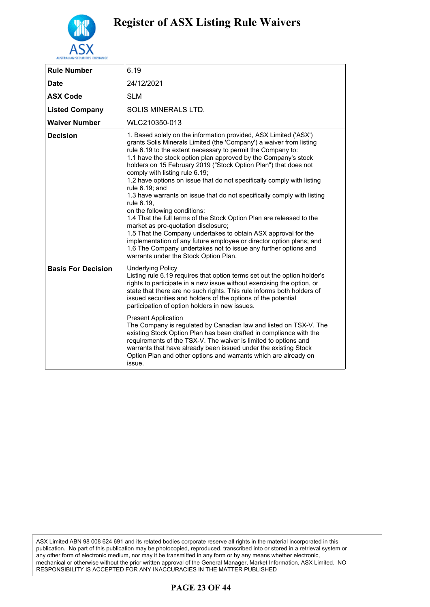

| <b>Rule Number</b>        | 6.19                                                                                                                                                                                                                                                                                                                                                                                                                                                                                                                                                                                                                                                                                                                                                                                                                                                                                                                                                                   |
|---------------------------|------------------------------------------------------------------------------------------------------------------------------------------------------------------------------------------------------------------------------------------------------------------------------------------------------------------------------------------------------------------------------------------------------------------------------------------------------------------------------------------------------------------------------------------------------------------------------------------------------------------------------------------------------------------------------------------------------------------------------------------------------------------------------------------------------------------------------------------------------------------------------------------------------------------------------------------------------------------------|
| <b>Date</b>               | 24/12/2021                                                                                                                                                                                                                                                                                                                                                                                                                                                                                                                                                                                                                                                                                                                                                                                                                                                                                                                                                             |
| <b>ASX Code</b>           | <b>SLM</b>                                                                                                                                                                                                                                                                                                                                                                                                                                                                                                                                                                                                                                                                                                                                                                                                                                                                                                                                                             |
| <b>Listed Company</b>     | SOLIS MINERALS LTD.                                                                                                                                                                                                                                                                                                                                                                                                                                                                                                                                                                                                                                                                                                                                                                                                                                                                                                                                                    |
| <b>Waiver Number</b>      | WLC210350-013                                                                                                                                                                                                                                                                                                                                                                                                                                                                                                                                                                                                                                                                                                                                                                                                                                                                                                                                                          |
| <b>Decision</b>           | 1. Based solely on the information provided, ASX Limited ('ASX')<br>grants Solis Minerals Limited (the 'Company') a waiver from listing<br>rule 6.19 to the extent necessary to permit the Company to:<br>1.1 have the stock option plan approved by the Company's stock<br>holders on 15 February 2019 ("Stock Option Plan") that does not<br>comply with listing rule 6.19;<br>1.2 have options on issue that do not specifically comply with listing<br>rule 6.19; and<br>1.3 have warrants on issue that do not specifically comply with listing<br>rule 6.19.<br>on the following conditions:<br>1.4 That the full terms of the Stock Option Plan are released to the<br>market as pre-quotation disclosure;<br>1.5 That the Company undertakes to obtain ASX approval for the<br>implementation of any future employee or director option plans; and<br>1.6 The Company undertakes not to issue any further options and<br>warrants under the Stock Option Plan. |
| <b>Basis For Decision</b> | <b>Underlying Policy</b><br>Listing rule 6.19 requires that option terms set out the option holder's<br>rights to participate in a new issue without exercising the option, or<br>state that there are no such rights. This rule informs both holders of<br>issued securities and holders of the options of the potential<br>participation of option holders in new issues.<br><b>Present Application</b><br>The Company is regulated by Canadian law and listed on TSX-V. The<br>existing Stock Option Plan has been drafted in compliance with the<br>requirements of the TSX-V. The waiver is limited to options and<br>warrants that have already been issued under the existing Stock<br>Option Plan and other options and warrants which are already on<br>issue.                                                                                                                                                                                                |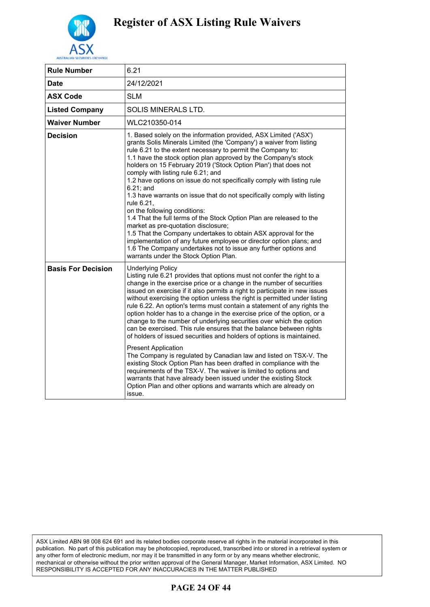

| <b>Rule Number</b>        | 6.21                                                                                                                                                                                                                                                                                                                                                                                                                                                                                                                                                                                                                                                                                                                                                                                                                                                                                                                                                                                                                                                                                                           |
|---------------------------|----------------------------------------------------------------------------------------------------------------------------------------------------------------------------------------------------------------------------------------------------------------------------------------------------------------------------------------------------------------------------------------------------------------------------------------------------------------------------------------------------------------------------------------------------------------------------------------------------------------------------------------------------------------------------------------------------------------------------------------------------------------------------------------------------------------------------------------------------------------------------------------------------------------------------------------------------------------------------------------------------------------------------------------------------------------------------------------------------------------|
| Date                      | 24/12/2021                                                                                                                                                                                                                                                                                                                                                                                                                                                                                                                                                                                                                                                                                                                                                                                                                                                                                                                                                                                                                                                                                                     |
| <b>ASX Code</b>           | <b>SLM</b>                                                                                                                                                                                                                                                                                                                                                                                                                                                                                                                                                                                                                                                                                                                                                                                                                                                                                                                                                                                                                                                                                                     |
| <b>Listed Company</b>     | SOLIS MINERALS LTD.                                                                                                                                                                                                                                                                                                                                                                                                                                                                                                                                                                                                                                                                                                                                                                                                                                                                                                                                                                                                                                                                                            |
| <b>Waiver Number</b>      | WLC210350-014                                                                                                                                                                                                                                                                                                                                                                                                                                                                                                                                                                                                                                                                                                                                                                                                                                                                                                                                                                                                                                                                                                  |
| <b>Decision</b>           | 1. Based solely on the information provided, ASX Limited ('ASX')<br>grants Solis Minerals Limited (the 'Company') a waiver from listing<br>rule 6.21 to the extent necessary to permit the Company to:<br>1.1 have the stock option plan approved by the Company's stock<br>holders on 15 February 2019 ('Stock Option Plan') that does not<br>comply with listing rule 6.21; and<br>1.2 have options on issue do not specifically comply with listing rule<br>$6.21$ ; and<br>1.3 have warrants on issue that do not specifically comply with listing<br>rule 6.21.<br>on the following conditions:<br>1.4 That the full terms of the Stock Option Plan are released to the<br>market as pre-quotation disclosure;<br>1.5 That the Company undertakes to obtain ASX approval for the<br>implementation of any future employee or director option plans; and<br>1.6 The Company undertakes not to issue any further options and<br>warrants under the Stock Option Plan.                                                                                                                                       |
| <b>Basis For Decision</b> | <b>Underlying Policy</b><br>Listing rule 6.21 provides that options must not confer the right to a<br>change in the exercise price or a change in the number of securities<br>issued on exercise if it also permits a right to participate in new issues<br>without exercising the option unless the right is permitted under listing<br>rule 6.22. An option's terms must contain a statement of any rights the<br>option holder has to a change in the exercise price of the option, or a<br>change to the number of underlying securities over which the option<br>can be exercised. This rule ensures that the balance between rights<br>of holders of issued securities and holders of options is maintained.<br><b>Present Application</b><br>The Company is regulated by Canadian law and listed on TSX-V. The<br>existing Stock Option Plan has been drafted in compliance with the<br>requirements of the TSX-V. The waiver is limited to options and<br>warrants that have already been issued under the existing Stock<br>Option Plan and other options and warrants which are already on<br>issue. |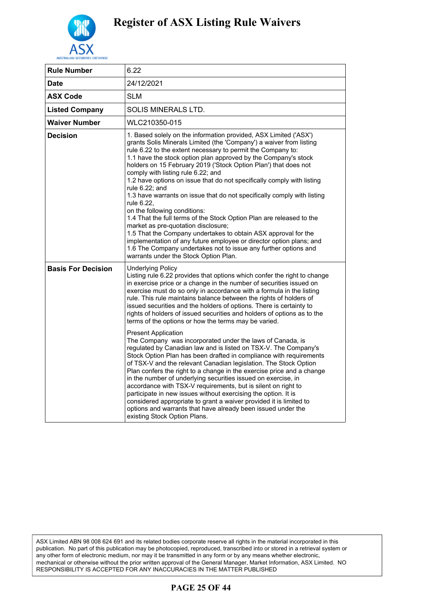

| <b>Rule Number</b>        | 6.22                                                                                                                                                                                                                                                                                                                                                                                                                                                                                                                                                                                                                                                                                                                                                                                                                                                                                                                                                                                                                                                                                                                                                                                                                                                                                           |
|---------------------------|------------------------------------------------------------------------------------------------------------------------------------------------------------------------------------------------------------------------------------------------------------------------------------------------------------------------------------------------------------------------------------------------------------------------------------------------------------------------------------------------------------------------------------------------------------------------------------------------------------------------------------------------------------------------------------------------------------------------------------------------------------------------------------------------------------------------------------------------------------------------------------------------------------------------------------------------------------------------------------------------------------------------------------------------------------------------------------------------------------------------------------------------------------------------------------------------------------------------------------------------------------------------------------------------|
| Date                      | 24/12/2021                                                                                                                                                                                                                                                                                                                                                                                                                                                                                                                                                                                                                                                                                                                                                                                                                                                                                                                                                                                                                                                                                                                                                                                                                                                                                     |
| <b>ASX Code</b>           | <b>SLM</b>                                                                                                                                                                                                                                                                                                                                                                                                                                                                                                                                                                                                                                                                                                                                                                                                                                                                                                                                                                                                                                                                                                                                                                                                                                                                                     |
| <b>Listed Company</b>     | SOLIS MINERALS LTD.                                                                                                                                                                                                                                                                                                                                                                                                                                                                                                                                                                                                                                                                                                                                                                                                                                                                                                                                                                                                                                                                                                                                                                                                                                                                            |
| Waiver Number             | WLC210350-015                                                                                                                                                                                                                                                                                                                                                                                                                                                                                                                                                                                                                                                                                                                                                                                                                                                                                                                                                                                                                                                                                                                                                                                                                                                                                  |
| Decision                  | 1. Based solely on the information provided, ASX Limited ('ASX')<br>grants Solis Minerals Limited (the 'Company') a waiver from listing<br>rule 6.22 to the extent necessary to permit the Company to:<br>1.1 have the stock option plan approved by the Company's stock<br>holders on 15 February 2019 ('Stock Option Plan') that does not<br>comply with listing rule 6.22; and<br>1.2 have options on issue that do not specifically comply with listing<br>rule 6.22; and<br>1.3 have warrants on issue that do not specifically comply with listing<br>rule 6.22,<br>on the following conditions:<br>1.4 That the full terms of the Stock Option Plan are released to the<br>market as pre-quotation disclosure;<br>1.5 That the Company undertakes to obtain ASX approval for the<br>implementation of any future employee or director option plans; and<br>1.6 The Company undertakes not to issue any further options and<br>warrants under the Stock Option Plan.                                                                                                                                                                                                                                                                                                                     |
| <b>Basis For Decision</b> | <b>Underlying Policy</b><br>Listing rule 6.22 provides that options which confer the right to change<br>in exercise price or a change in the number of securities issued on<br>exercise must do so only in accordance with a formula in the listing<br>rule. This rule maintains balance between the rights of holders of<br>issued securities and the holders of options. There is certainty to<br>rights of holders of issued securities and holders of options as to the<br>terms of the options or how the terms may be varied.<br><b>Present Application</b><br>The Company was incorporated under the laws of Canada, is<br>regulated by Canadian law and is listed on TSX-V. The Company's<br>Stock Option Plan has been drafted in compliance with requirements<br>of TSX-V and the relevant Canadian legislation. The Stock Option<br>Plan confers the right to a change in the exercise price and a change<br>in the number of underlying securities issued on exercise, in<br>accordance with TSX-V requirements, but is silent on right to<br>participate in new issues without exercising the option. It is<br>considered appropriate to grant a waiver provided it is limited to<br>options and warrants that have already been issued under the<br>existing Stock Option Plans. |

### **PAGE 25 OF 44**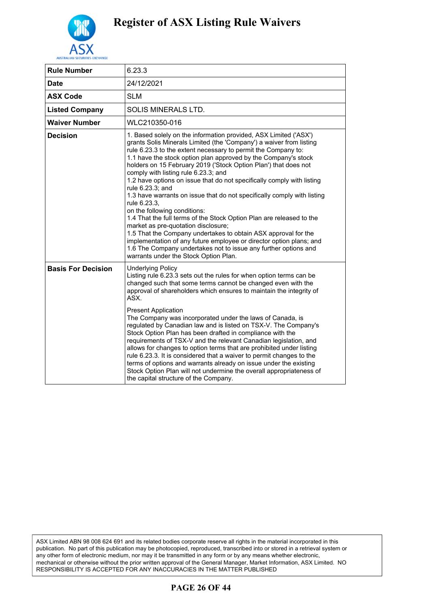

| <b>Rule Number</b>        | 6.23.3                                                                                                                                                                                                                                                                                                                                                                                                                                                                                                                                                                                                                                                                                                                                                                                                                                                                                                                                                                             |
|---------------------------|------------------------------------------------------------------------------------------------------------------------------------------------------------------------------------------------------------------------------------------------------------------------------------------------------------------------------------------------------------------------------------------------------------------------------------------------------------------------------------------------------------------------------------------------------------------------------------------------------------------------------------------------------------------------------------------------------------------------------------------------------------------------------------------------------------------------------------------------------------------------------------------------------------------------------------------------------------------------------------|
| <b>Date</b>               | 24/12/2021                                                                                                                                                                                                                                                                                                                                                                                                                                                                                                                                                                                                                                                                                                                                                                                                                                                                                                                                                                         |
| <b>ASX Code</b>           | <b>SLM</b>                                                                                                                                                                                                                                                                                                                                                                                                                                                                                                                                                                                                                                                                                                                                                                                                                                                                                                                                                                         |
| <b>Listed Company</b>     | <b>SOLIS MINERALS LTD.</b>                                                                                                                                                                                                                                                                                                                                                                                                                                                                                                                                                                                                                                                                                                                                                                                                                                                                                                                                                         |
| <b>Waiver Number</b>      | WLC210350-016                                                                                                                                                                                                                                                                                                                                                                                                                                                                                                                                                                                                                                                                                                                                                                                                                                                                                                                                                                      |
| <b>Decision</b>           | 1. Based solely on the information provided, ASX Limited ('ASX')<br>grants Solis Minerals Limited (the 'Company') a waiver from listing<br>rule 6.23.3 to the extent necessary to permit the Company to:<br>1.1 have the stock option plan approved by the Company's stock<br>holders on 15 February 2019 ('Stock Option Plan') that does not<br>comply with listing rule 6.23.3; and<br>1.2 have options on issue that do not specifically comply with listing<br>rule 6.23.3; and<br>1.3 have warrants on issue that do not specifically comply with listing<br>rule 6.23.3,<br>on the following conditions:<br>1.4 That the full terms of the Stock Option Plan are released to the<br>market as pre-quotation disclosure;<br>1.5 That the Company undertakes to obtain ASX approval for the<br>implementation of any future employee or director option plans; and<br>1.6 The Company undertakes not to issue any further options and<br>warrants under the Stock Option Plan. |
| <b>Basis For Decision</b> | <b>Underlying Policy</b><br>Listing rule 6.23.3 sets out the rules for when option terms can be<br>changed such that some terms cannot be changed even with the<br>approval of shareholders which ensures to maintain the integrity of<br>ASX.<br><b>Present Application</b><br>The Company was incorporated under the laws of Canada, is<br>regulated by Canadian law and is listed on TSX-V. The Company's<br>Stock Option Plan has been drafted in compliance with the<br>requirements of TSX-V and the relevant Canadian legislation, and<br>allows for changes to option terms that are prohibited under listing<br>rule 6.23.3. It is considered that a waiver to permit changes to the<br>terms of options and warrants already on issue under the existing<br>Stock Option Plan will not undermine the overall appropriateness of<br>the capital structure of the Company.                                                                                                 |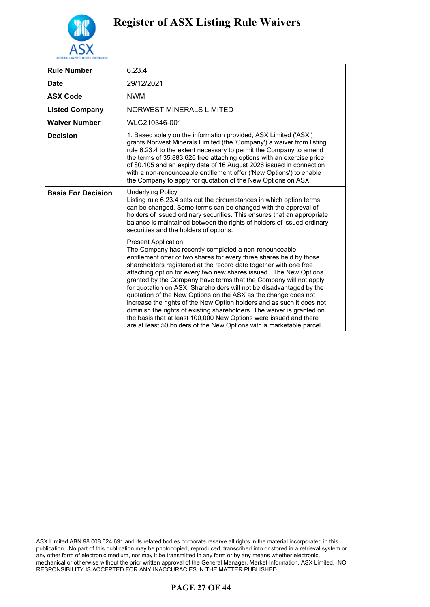

| <b>Rule Number</b>        | 6.23.4                                                                                                                                                                                                                                                                                                                                                                                                                                                                                                                                                                                                                                                                                                                                                                                                              |
|---------------------------|---------------------------------------------------------------------------------------------------------------------------------------------------------------------------------------------------------------------------------------------------------------------------------------------------------------------------------------------------------------------------------------------------------------------------------------------------------------------------------------------------------------------------------------------------------------------------------------------------------------------------------------------------------------------------------------------------------------------------------------------------------------------------------------------------------------------|
| <b>Date</b>               | 29/12/2021                                                                                                                                                                                                                                                                                                                                                                                                                                                                                                                                                                                                                                                                                                                                                                                                          |
| <b>ASX Code</b>           | <b>NWM</b>                                                                                                                                                                                                                                                                                                                                                                                                                                                                                                                                                                                                                                                                                                                                                                                                          |
| <b>Listed Company</b>     | NORWEST MINERALS LIMITED                                                                                                                                                                                                                                                                                                                                                                                                                                                                                                                                                                                                                                                                                                                                                                                            |
| <b>Waiver Number</b>      | WLC210346-001                                                                                                                                                                                                                                                                                                                                                                                                                                                                                                                                                                                                                                                                                                                                                                                                       |
| <b>Decision</b>           | 1. Based solely on the information provided, ASX Limited ('ASX')<br>grants Norwest Minerals Limited (the 'Company') a waiver from listing<br>rule 6.23.4 to the extent necessary to permit the Company to amend<br>the terms of 35,883,626 free attaching options with an exercise price<br>of \$0.105 and an expiry date of 16 August 2026 issued in connection<br>with a non-renounceable entitlement offer ('New Options') to enable<br>the Company to apply for quotation of the New Options on ASX.                                                                                                                                                                                                                                                                                                            |
| <b>Basis For Decision</b> | <b>Underlying Policy</b><br>Listing rule 6.23.4 sets out the circumstances in which option terms<br>can be changed. Some terms can be changed with the approval of<br>holders of issued ordinary securities. This ensures that an appropriate<br>balance is maintained between the rights of holders of issued ordinary<br>securities and the holders of options.                                                                                                                                                                                                                                                                                                                                                                                                                                                   |
|                           | <b>Present Application</b><br>The Company has recently completed a non-renounceable<br>entitlement offer of two shares for every three shares held by those<br>shareholders registered at the record date together with one free<br>attaching option for every two new shares issued. The New Options<br>granted by the Company have terms that the Company will not apply<br>for quotation on ASX. Shareholders will not be disadvantaged by the<br>quotation of the New Options on the ASX as the change does not<br>increase the rights of the New Option holders and as such it does not<br>diminish the rights of existing shareholders. The waiver is granted on<br>the basis that at least 100,000 New Options were issued and there<br>are at least 50 holders of the New Options with a marketable parcel. |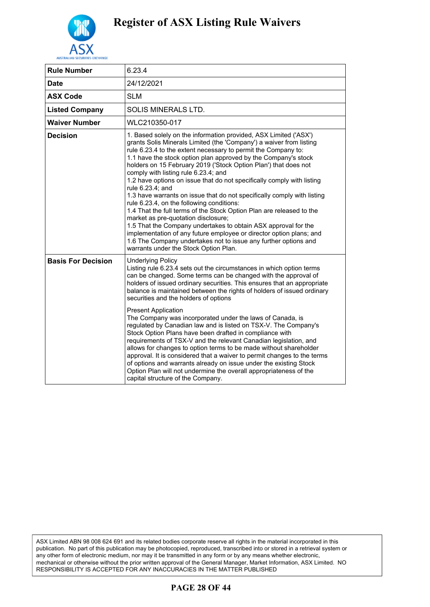

| <b>Rule Number</b>        | 6.23.4                                                                                                                                                                                                                                                                                                                                                                                                                                                                                                                                                                                                                                                                                                                                                                                                                                                                                                                                                                                       |
|---------------------------|----------------------------------------------------------------------------------------------------------------------------------------------------------------------------------------------------------------------------------------------------------------------------------------------------------------------------------------------------------------------------------------------------------------------------------------------------------------------------------------------------------------------------------------------------------------------------------------------------------------------------------------------------------------------------------------------------------------------------------------------------------------------------------------------------------------------------------------------------------------------------------------------------------------------------------------------------------------------------------------------|
| <b>Date</b>               | 24/12/2021                                                                                                                                                                                                                                                                                                                                                                                                                                                                                                                                                                                                                                                                                                                                                                                                                                                                                                                                                                                   |
| <b>ASX Code</b>           | <b>SLM</b>                                                                                                                                                                                                                                                                                                                                                                                                                                                                                                                                                                                                                                                                                                                                                                                                                                                                                                                                                                                   |
| <b>Listed Company</b>     | SOLIS MINERALS LTD.                                                                                                                                                                                                                                                                                                                                                                                                                                                                                                                                                                                                                                                                                                                                                                                                                                                                                                                                                                          |
| <b>Waiver Number</b>      | WLC210350-017                                                                                                                                                                                                                                                                                                                                                                                                                                                                                                                                                                                                                                                                                                                                                                                                                                                                                                                                                                                |
| <b>Decision</b>           | 1. Based solely on the information provided, ASX Limited ('ASX')<br>grants Solis Minerals Limited (the 'Company') a waiver from listing<br>rule 6.23.4 to the extent necessary to permit the Company to:<br>1.1 have the stock option plan approved by the Company's stock<br>holders on 15 February 2019 ('Stock Option Plan') that does not<br>comply with listing rule 6.23.4; and<br>1.2 have options on issue that do not specifically comply with listing<br>rule 6.23.4; and<br>1.3 have warrants on issue that do not specifically comply with listing<br>rule 6.23.4, on the following conditions:<br>1.4 That the full terms of the Stock Option Plan are released to the<br>market as pre-quotation disclosure;<br>1.5 That the Company undertakes to obtain ASX approval for the<br>implementation of any future employee or director option plans; and<br>1.6 The Company undertakes not to issue any further options and<br>warrants under the Stock Option Plan.              |
| <b>Basis For Decision</b> | <b>Underlying Policy</b><br>Listing rule 6.23.4 sets out the circumstances in which option terms<br>can be changed. Some terms can be changed with the approval of<br>holders of issued ordinary securities. This ensures that an appropriate<br>balance is maintained between the rights of holders of issued ordinary<br>securities and the holders of options<br><b>Present Application</b><br>The Company was incorporated under the laws of Canada, is<br>regulated by Canadian law and is listed on TSX-V. The Company's<br>Stock Option Plans have been drafted in compliance with<br>requirements of TSX-V and the relevant Canadian legislation, and<br>allows for changes to option terms to be made without shareholder<br>approval. It is considered that a waiver to permit changes to the terms<br>of options and warrants already on issue under the existing Stock<br>Option Plan will not undermine the overall appropriateness of the<br>capital structure of the Company. |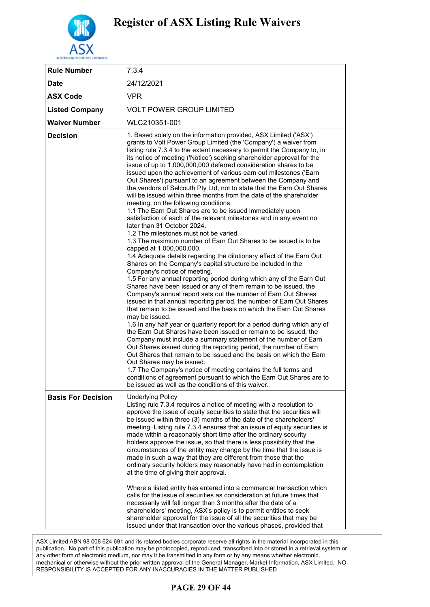

| <b>Rule Number</b>        | 7.3.4                                                                                                                                                                                                                                                                                                                                                                                                                                                                                                                                                                                                                                                                                                                                                                                                                                                                                                                                                                                                                                                                                                                                                                                                                                                                                                                                                                                                                                                                                                                                                                                                                                                                                                                                                                                                                                                                                                                                                                                                                                                                                                                                                          |
|---------------------------|----------------------------------------------------------------------------------------------------------------------------------------------------------------------------------------------------------------------------------------------------------------------------------------------------------------------------------------------------------------------------------------------------------------------------------------------------------------------------------------------------------------------------------------------------------------------------------------------------------------------------------------------------------------------------------------------------------------------------------------------------------------------------------------------------------------------------------------------------------------------------------------------------------------------------------------------------------------------------------------------------------------------------------------------------------------------------------------------------------------------------------------------------------------------------------------------------------------------------------------------------------------------------------------------------------------------------------------------------------------------------------------------------------------------------------------------------------------------------------------------------------------------------------------------------------------------------------------------------------------------------------------------------------------------------------------------------------------------------------------------------------------------------------------------------------------------------------------------------------------------------------------------------------------------------------------------------------------------------------------------------------------------------------------------------------------------------------------------------------------------------------------------------------------|
| <b>Date</b>               | 24/12/2021                                                                                                                                                                                                                                                                                                                                                                                                                                                                                                                                                                                                                                                                                                                                                                                                                                                                                                                                                                                                                                                                                                                                                                                                                                                                                                                                                                                                                                                                                                                                                                                                                                                                                                                                                                                                                                                                                                                                                                                                                                                                                                                                                     |
| <b>ASX Code</b>           | <b>VPR</b>                                                                                                                                                                                                                                                                                                                                                                                                                                                                                                                                                                                                                                                                                                                                                                                                                                                                                                                                                                                                                                                                                                                                                                                                                                                                                                                                                                                                                                                                                                                                                                                                                                                                                                                                                                                                                                                                                                                                                                                                                                                                                                                                                     |
| <b>Listed Company</b>     | <b>VOLT POWER GROUP LIMITED</b>                                                                                                                                                                                                                                                                                                                                                                                                                                                                                                                                                                                                                                                                                                                                                                                                                                                                                                                                                                                                                                                                                                                                                                                                                                                                                                                                                                                                                                                                                                                                                                                                                                                                                                                                                                                                                                                                                                                                                                                                                                                                                                                                |
| <b>Waiver Number</b>      | WLC210351-001                                                                                                                                                                                                                                                                                                                                                                                                                                                                                                                                                                                                                                                                                                                                                                                                                                                                                                                                                                                                                                                                                                                                                                                                                                                                                                                                                                                                                                                                                                                                                                                                                                                                                                                                                                                                                                                                                                                                                                                                                                                                                                                                                  |
| <b>Decision</b>           | 1. Based solely on the information provided, ASX Limited ('ASX')<br>grants to Volt Power Group Limited (the 'Company') a waiver from<br>listing rule 7.3.4 to the extent necessary to permit the Company to, in<br>its notice of meeting ('Notice') seeking shareholder approval for the<br>issue of up to 1,000,000,000 deferred consideration shares to be<br>issued upon the achievement of various earn out milestones ('Earn<br>Out Shares') pursuant to an agreement between the Company and<br>the vendors of Selcouth Pty Ltd, not to state that the Earn Out Shares<br>will be issued within three months from the date of the shareholder<br>meeting, on the following conditions:<br>1.1 The Earn Out Shares are to be issued immediately upon<br>satisfaction of each of the relevant milestones and in any event no<br>later than 31 October 2024.<br>1.2 The milestones must not be varied.<br>1.3 The maximum number of Earn Out Shares to be issued is to be<br>capped at 1,000,000,000.<br>1.4 Adequate details regarding the dilutionary effect of the Earn Out<br>Shares on the Company's capital structure be included in the<br>Company's notice of meeting.<br>1.5 For any annual reporting period during which any of the Earn Out<br>Shares have been issued or any of them remain to be issued, the<br>Company's annual report sets out the number of Earn Out Shares<br>issued in that annual reporting period, the number of Earn Out Shares<br>that remain to be issued and the basis on which the Earn Out Shares<br>may be issued.<br>1.6 In any half year or quarterly report for a period during which any of<br>the Earn Out Shares have been issued or remain to be issued, the<br>Company must include a summary statement of the number of Earn<br>Out Shares issued during the reporting period, the number of Earn<br>Out Shares that remain to be issued and the basis on which the Earn<br>Out Shares may be issued.<br>1.7 The Company's notice of meeting contains the full terms and<br>conditions of agreement pursuant to which the Earn Out Shares are to<br>be issued as well as the conditions of this waiver. |
| <b>Basis For Decision</b> | <b>Underlying Policy</b><br>Listing rule 7.3.4 requires a notice of meeting with a resolution to<br>approve the issue of equity securities to state that the securities will<br>be issued within three (3) months of the date of the shareholders'<br>meeting. Listing rule 7.3.4 ensures that an issue of equity securities is<br>made within a reasonably short time after the ordinary security<br>holders approve the issue, so that there is less possibility that the<br>circumstances of the entity may change by the time that the issue is<br>made in such a way that they are different from those that the<br>ordinary security holders may reasonably have had in contemplation<br>at the time of giving their approval.<br>Where a listed entity has entered into a commercial transaction which<br>calls for the issue of securities as consideration at future times that<br>necessarily will fall longer than 3 months after the date of a<br>shareholders' meeting, ASX's policy is to permit entities to seek<br>shareholder approval for the issue of all the securities that may be<br>issued under that transaction over the various phases, provided that                                                                                                                                                                                                                                                                                                                                                                                                                                                                                                                                                                                                                                                                                                                                                                                                                                                                                                                                                                                |

### **PAGE 29 OF 44**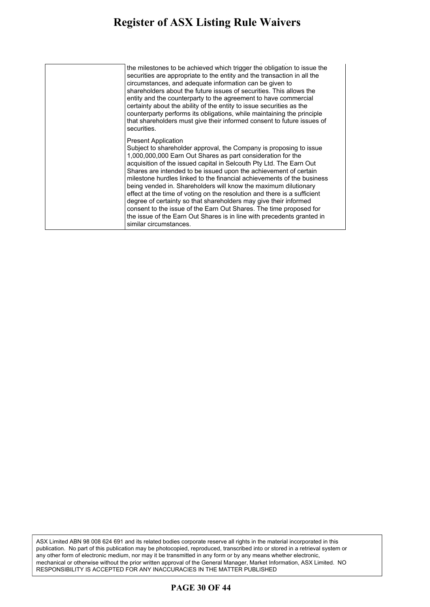#### **Register of ASX Listing Rule Waivers** calls for the issue of securities as consideration at future times that

| the milestones to be achieved which trigger the obligation to issue the<br>securities are appropriate to the entity and the transaction in all the<br>circumstances, and adequate information can be given to<br>shareholders about the future issues of securities. This allows the<br>entity and the counterparty to the agreement to have commercial<br>certainty about the ability of the entity to issue securities as the<br>counterparty performs its obligations, while maintaining the principle<br>that shareholders must give their informed consent to future issues of<br>securities.                                                                                                                                                                                |
|-----------------------------------------------------------------------------------------------------------------------------------------------------------------------------------------------------------------------------------------------------------------------------------------------------------------------------------------------------------------------------------------------------------------------------------------------------------------------------------------------------------------------------------------------------------------------------------------------------------------------------------------------------------------------------------------------------------------------------------------------------------------------------------|
| <b>Present Application</b><br>Subject to shareholder approval, the Company is proposing to issue<br>1,000,000,000 Earn Out Shares as part consideration for the<br>acquisition of the issued capital in Selcouth Pty Ltd. The Earn Out<br>Shares are intended to be issued upon the achievement of certain<br>milestone hurdles linked to the financial achievements of the business<br>being vended in. Shareholders will know the maximum dilutionary<br>effect at the time of voting on the resolution and there is a sufficient<br>degree of certainty so that shareholders may give their informed<br>consent to the issue of the Earn Out Shares. The time proposed for<br>the issue of the Earn Out Shares is in line with precedents granted in<br>similar circumstances. |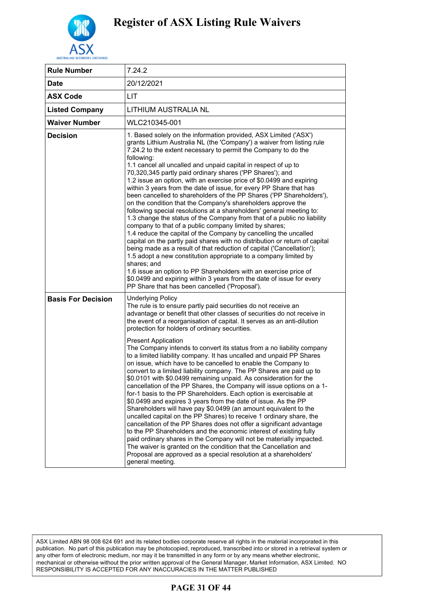

| <b>Rule Number</b>        | 7.24.2                                                                                                                                                                                                                                                                                                                                                                                                                                                                                                                                                                                                                                                                                                                                                                                                                                                                                                                                                                                                                                                                                                                                                                                                                                                                                                                                                                                                                                       |
|---------------------------|----------------------------------------------------------------------------------------------------------------------------------------------------------------------------------------------------------------------------------------------------------------------------------------------------------------------------------------------------------------------------------------------------------------------------------------------------------------------------------------------------------------------------------------------------------------------------------------------------------------------------------------------------------------------------------------------------------------------------------------------------------------------------------------------------------------------------------------------------------------------------------------------------------------------------------------------------------------------------------------------------------------------------------------------------------------------------------------------------------------------------------------------------------------------------------------------------------------------------------------------------------------------------------------------------------------------------------------------------------------------------------------------------------------------------------------------|
| <b>Date</b>               | 20/12/2021                                                                                                                                                                                                                                                                                                                                                                                                                                                                                                                                                                                                                                                                                                                                                                                                                                                                                                                                                                                                                                                                                                                                                                                                                                                                                                                                                                                                                                   |
| <b>ASX Code</b>           | LIT                                                                                                                                                                                                                                                                                                                                                                                                                                                                                                                                                                                                                                                                                                                                                                                                                                                                                                                                                                                                                                                                                                                                                                                                                                                                                                                                                                                                                                          |
| <b>Listed Company</b>     | LITHIUM AUSTRALIA NL                                                                                                                                                                                                                                                                                                                                                                                                                                                                                                                                                                                                                                                                                                                                                                                                                                                                                                                                                                                                                                                                                                                                                                                                                                                                                                                                                                                                                         |
| <b>Waiver Number</b>      | WLC210345-001                                                                                                                                                                                                                                                                                                                                                                                                                                                                                                                                                                                                                                                                                                                                                                                                                                                                                                                                                                                                                                                                                                                                                                                                                                                                                                                                                                                                                                |
| <b>Decision</b>           | 1. Based solely on the information provided, ASX Limited ('ASX')<br>grants Lithium Australia NL (the 'Company') a waiver from listing rule<br>7.24.2 to the extent necessary to permit the Company to do the<br>following:<br>1.1 cancel all uncalled and unpaid capital in respect of up to<br>70,320,345 partly paid ordinary shares ('PP Shares'); and<br>1.2 issue an option, with an exercise price of \$0.0499 and expiring<br>within 3 years from the date of issue, for every PP Share that has<br>been cancelled to shareholders of the PP Shares ('PP Shareholders'),<br>on the condition that the Company's shareholders approve the<br>following special resolutions at a shareholders' general meeting to:<br>1.3 change the status of the Company from that of a public no liability<br>company to that of a public company limited by shares;<br>1.4 reduce the capital of the Company by cancelling the uncalled<br>capital on the partly paid shares with no distribution or return of capital<br>being made as a result of that reduction of capital ('Cancellation');<br>1.5 adopt a new constitution appropriate to a company limited by<br>shares; and<br>1.6 issue an option to PP Shareholders with an exercise price of<br>\$0.0499 and expiring within 3 years from the date of issue for every<br>PP Share that has been cancelled ('Proposal').                                                                   |
| <b>Basis For Decision</b> | <b>Underlying Policy</b><br>The rule is to ensure partly paid securities do not receive an<br>advantage or benefit that other classes of securities do not receive in<br>the event of a reorganisation of capital. It serves as an anti-dilution<br>protection for holders of ordinary securities.<br><b>Present Application</b><br>The Company intends to convert its status from a no liability company<br>to a limited liability company. It has uncalled and unpaid PP Shares<br>on issue, which have to be cancelled to enable the Company to<br>convert to a limited liability company. The PP Shares are paid up to<br>\$0.0101 with \$0.0499 remaining unpaid. As consideration for the<br>cancellation of the PP Shares, the Company will issue options on a 1-<br>for-1 basis to the PP Shareholders. Each option is exercisable at<br>\$0.0499 and expires 3 years from the date of issue. As the PP<br>Shareholders will have pay \$0.0499 (an amount equivalent to the<br>uncalled capital on the PP Shares) to receive 1 ordinary share, the<br>cancellation of the PP Shares does not offer a significant advantage<br>to the PP Shareholders and the economic interest of existing fully<br>paid ordinary shares in the Company will not be materially impacted.<br>The waiver is granted on the condition that the Cancellation and<br>Proposal are approved as a special resolution at a shareholders'<br>general meeting. |

### **PAGE 31 OF 44**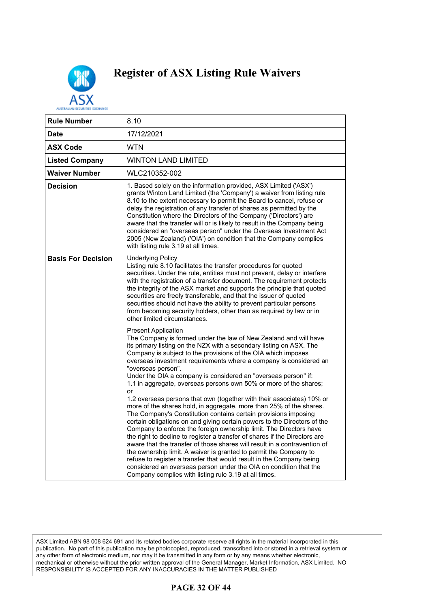

| <b>Rule Number</b>        | 8.10                                                                                                                                                                                                                                                                                                                                                                                                                                                                                                                                                                                                                                                                                                                                                                                                                                                                                                                                                                                                                                                                                                                                                                                                                                                                                      |
|---------------------------|-------------------------------------------------------------------------------------------------------------------------------------------------------------------------------------------------------------------------------------------------------------------------------------------------------------------------------------------------------------------------------------------------------------------------------------------------------------------------------------------------------------------------------------------------------------------------------------------------------------------------------------------------------------------------------------------------------------------------------------------------------------------------------------------------------------------------------------------------------------------------------------------------------------------------------------------------------------------------------------------------------------------------------------------------------------------------------------------------------------------------------------------------------------------------------------------------------------------------------------------------------------------------------------------|
| Date                      | 17/12/2021                                                                                                                                                                                                                                                                                                                                                                                                                                                                                                                                                                                                                                                                                                                                                                                                                                                                                                                                                                                                                                                                                                                                                                                                                                                                                |
| <b>ASX Code</b>           | <b>WTN</b>                                                                                                                                                                                                                                                                                                                                                                                                                                                                                                                                                                                                                                                                                                                                                                                                                                                                                                                                                                                                                                                                                                                                                                                                                                                                                |
| <b>Listed Company</b>     | WINTON LAND LIMITED                                                                                                                                                                                                                                                                                                                                                                                                                                                                                                                                                                                                                                                                                                                                                                                                                                                                                                                                                                                                                                                                                                                                                                                                                                                                       |
| Waiver Number             | WLC210352-002                                                                                                                                                                                                                                                                                                                                                                                                                                                                                                                                                                                                                                                                                                                                                                                                                                                                                                                                                                                                                                                                                                                                                                                                                                                                             |
| <b>Decision</b>           | 1. Based solely on the information provided, ASX Limited ('ASX')<br>grants Winton Land Limited (the 'Company') a waiver from listing rule<br>8.10 to the extent necessary to permit the Board to cancel, refuse or<br>delay the registration of any transfer of shares as permitted by the<br>Constitution where the Directors of the Company ('Directors') are<br>aware that the transfer will or is likely to result in the Company being<br>considered an "overseas person" under the Overseas Investment Act<br>2005 (New Zealand) ('OIA') on condition that the Company complies<br>with listing rule 3.19 at all times.                                                                                                                                                                                                                                                                                                                                                                                                                                                                                                                                                                                                                                                             |
| <b>Basis For Decision</b> | <b>Underlying Policy</b><br>Listing rule 8.10 facilitates the transfer procedures for quoted<br>securities. Under the rule, entities must not prevent, delay or interfere<br>with the registration of a transfer document. The requirement protects<br>the integrity of the ASX market and supports the principle that quoted<br>securities are freely transferable, and that the issuer of quoted<br>securities should not have the ability to prevent particular persons<br>from becoming security holders, other than as required by law or in<br>other limited circumstances.                                                                                                                                                                                                                                                                                                                                                                                                                                                                                                                                                                                                                                                                                                         |
|                           | <b>Present Application</b><br>The Company is formed under the law of New Zealand and will have<br>its primary listing on the NZX with a secondary listing on ASX. The<br>Company is subject to the provisions of the OIA which imposes<br>overseas investment requirements where a company is considered an<br>"overseas person".<br>Under the OIA a company is considered an "overseas person" if:<br>1.1 in aggregate, overseas persons own 50% or more of the shares;<br>or<br>1.2 overseas persons that own (together with their associates) 10% or<br>more of the shares hold, in aggregate, more than 25% of the shares.<br>The Company's Constitution contains certain provisions imposing<br>certain obligations on and giving certain powers to the Directors of the<br>Company to enforce the foreign ownership limit. The Directors have<br>the right to decline to register a transfer of shares if the Directors are<br>aware that the transfer of those shares will result in a contravention of<br>the ownership limit. A waiver is granted to permit the Company to<br>refuse to register a transfer that would result in the Company being<br>considered an overseas person under the OIA on condition that the<br>Company complies with listing rule 3.19 at all times. |

ASX Limited ABN 98 008 624 691 and its related bodies corporate reserve all rights in the material incorporated in this publication. No part of this publication may be photocopied, reproduced, transcribed into or stored in a retrieval system or any other form of electronic medium, nor may it be transmitted in any form or by any means whether electronic, mechanical or otherwise without the prior written approval of the General Manager, Market Information, ASX Limited. NO RESPONSIBILITY IS ACCEPTED FOR ANY INACCURACIES IN THE MATTER PUBLISHED

### **PAGE 32 OF 44**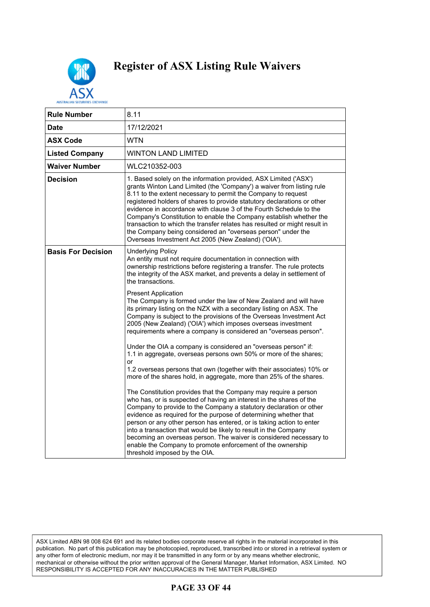

| AUSTRALIAN SECURITIES EXCHANG |                                                                                                                                                                                                                                                                                                                                                                                                                                                                                                                                                                                                                                      |
|-------------------------------|--------------------------------------------------------------------------------------------------------------------------------------------------------------------------------------------------------------------------------------------------------------------------------------------------------------------------------------------------------------------------------------------------------------------------------------------------------------------------------------------------------------------------------------------------------------------------------------------------------------------------------------|
| <b>Rule Number</b>            | 8.11                                                                                                                                                                                                                                                                                                                                                                                                                                                                                                                                                                                                                                 |
| Date                          | 17/12/2021                                                                                                                                                                                                                                                                                                                                                                                                                                                                                                                                                                                                                           |
| <b>ASX Code</b>               | <b>WTN</b>                                                                                                                                                                                                                                                                                                                                                                                                                                                                                                                                                                                                                           |
| <b>Listed Company</b>         | WINTON LAND LIMITED                                                                                                                                                                                                                                                                                                                                                                                                                                                                                                                                                                                                                  |
| <b>Waiver Number</b>          | WLC210352-003                                                                                                                                                                                                                                                                                                                                                                                                                                                                                                                                                                                                                        |
| <b>Decision</b>               | 1. Based solely on the information provided, ASX Limited ('ASX')<br>grants Winton Land Limited (the 'Company') a waiver from listing rule<br>8.11 to the extent necessary to permit the Company to request<br>registered holders of shares to provide statutory declarations or other<br>evidence in accordance with clause 3 of the Fourth Schedule to the<br>Company's Constitution to enable the Company establish whether the<br>transaction to which the transfer relates has resulted or might result in<br>the Company being considered an "overseas person" under the<br>Overseas Investment Act 2005 (New Zealand) ('OIA'). |
| <b>Basis For Decision</b>     | <b>Underlying Policy</b><br>An entity must not require documentation in connection with<br>ownership restrictions before registering a transfer. The rule protects<br>the integrity of the ASX market, and prevents a delay in settlement of<br>the transactions.                                                                                                                                                                                                                                                                                                                                                                    |
|                               | <b>Present Application</b><br>The Company is formed under the law of New Zealand and will have<br>its primary listing on the NZX with a secondary listing on ASX. The<br>Company is subject to the provisions of the Overseas Investment Act<br>2005 (New Zealand) ('OIA') which imposes overseas investment<br>requirements where a company is considered an "overseas person".                                                                                                                                                                                                                                                     |
|                               | Under the OIA a company is considered an "overseas person" if:<br>1.1 in aggregate, overseas persons own 50% or more of the shares;<br>or<br>1.2 overseas persons that own (together with their associates) 10% or<br>more of the shares hold, in aggregate, more than 25% of the shares.                                                                                                                                                                                                                                                                                                                                            |
|                               | The Constitution provides that the Company may require a person<br>who has, or is suspected of having an interest in the shares of the<br>Company to provide to the Company a statutory declaration or other<br>evidence as required for the purpose of determining whether that<br>person or any other person has entered, or is taking action to enter<br>into a transaction that would be likely to result in the Company<br>becoming an overseas person. The waiver is considered necessary to<br>enable the Company to promote enforcement of the ownership<br>threshold imposed by the OIA.                                    |

ASX Limited ABN 98 008 624 691 and its related bodies corporate reserve all rights in the material incorporated in this publication. No part of this publication may be photocopied, reproduced, transcribed into or stored in a retrieval system or any other form of electronic medium, nor may it be transmitted in any form or by any means whether electronic, mechanical or otherwise without the prior written approval of the General Manager, Market Information, ASX Limited. NO RESPONSIBILITY IS ACCEPTED FOR ANY INACCURACIES IN THE MATTER PUBLISHED

### **PAGE 33 OF 44**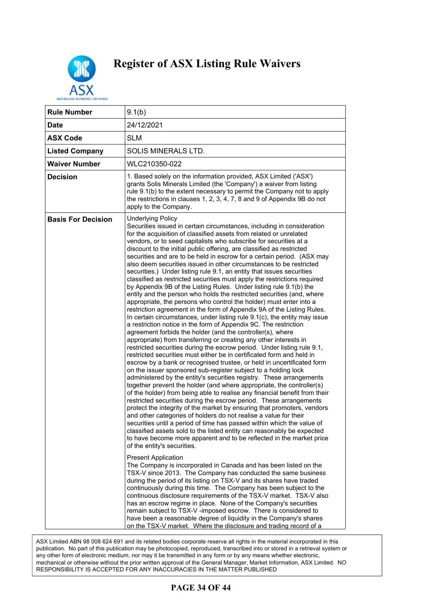

| <b>Rule Number</b>        | 9.1(b)                                                                                                                                                                                                                                                                                                                                                                                                                                                                                                                                                                                                                                                                                                                                                                                                                                                                                                                                                                                                                                                                                                                                                                                                                                                                                                                                                                                                                                                                                                                                                                                                                                                                                                                                                                                                                                                                                                                                                                                                                                                                                                                                                                                                                                                                                                                                                                                                                                                                                                                                                                                                                                                                                                                                                                                                                                                                                                 |
|---------------------------|--------------------------------------------------------------------------------------------------------------------------------------------------------------------------------------------------------------------------------------------------------------------------------------------------------------------------------------------------------------------------------------------------------------------------------------------------------------------------------------------------------------------------------------------------------------------------------------------------------------------------------------------------------------------------------------------------------------------------------------------------------------------------------------------------------------------------------------------------------------------------------------------------------------------------------------------------------------------------------------------------------------------------------------------------------------------------------------------------------------------------------------------------------------------------------------------------------------------------------------------------------------------------------------------------------------------------------------------------------------------------------------------------------------------------------------------------------------------------------------------------------------------------------------------------------------------------------------------------------------------------------------------------------------------------------------------------------------------------------------------------------------------------------------------------------------------------------------------------------------------------------------------------------------------------------------------------------------------------------------------------------------------------------------------------------------------------------------------------------------------------------------------------------------------------------------------------------------------------------------------------------------------------------------------------------------------------------------------------------------------------------------------------------------------------------------------------------------------------------------------------------------------------------------------------------------------------------------------------------------------------------------------------------------------------------------------------------------------------------------------------------------------------------------------------------------------------------------------------------------------------------------------------------|
| <b>Date</b>               | 24/12/2021                                                                                                                                                                                                                                                                                                                                                                                                                                                                                                                                                                                                                                                                                                                                                                                                                                                                                                                                                                                                                                                                                                                                                                                                                                                                                                                                                                                                                                                                                                                                                                                                                                                                                                                                                                                                                                                                                                                                                                                                                                                                                                                                                                                                                                                                                                                                                                                                                                                                                                                                                                                                                                                                                                                                                                                                                                                                                             |
| <b>ASX Code</b>           | <b>SLM</b>                                                                                                                                                                                                                                                                                                                                                                                                                                                                                                                                                                                                                                                                                                                                                                                                                                                                                                                                                                                                                                                                                                                                                                                                                                                                                                                                                                                                                                                                                                                                                                                                                                                                                                                                                                                                                                                                                                                                                                                                                                                                                                                                                                                                                                                                                                                                                                                                                                                                                                                                                                                                                                                                                                                                                                                                                                                                                             |
| <b>Listed Company</b>     | SOLIS MINERALS LTD.                                                                                                                                                                                                                                                                                                                                                                                                                                                                                                                                                                                                                                                                                                                                                                                                                                                                                                                                                                                                                                                                                                                                                                                                                                                                                                                                                                                                                                                                                                                                                                                                                                                                                                                                                                                                                                                                                                                                                                                                                                                                                                                                                                                                                                                                                                                                                                                                                                                                                                                                                                                                                                                                                                                                                                                                                                                                                    |
| <b>Waiver Number</b>      | WLC210350-022                                                                                                                                                                                                                                                                                                                                                                                                                                                                                                                                                                                                                                                                                                                                                                                                                                                                                                                                                                                                                                                                                                                                                                                                                                                                                                                                                                                                                                                                                                                                                                                                                                                                                                                                                                                                                                                                                                                                                                                                                                                                                                                                                                                                                                                                                                                                                                                                                                                                                                                                                                                                                                                                                                                                                                                                                                                                                          |
| <b>Decision</b>           | 1. Based solely on the information provided, ASX Limited ('ASX')<br>grants Solis Minerals Limited (the 'Company') a waiver from listing<br>rule 9.1(b) to the extent necessary to permit the Company not to apply<br>the restrictions in clauses 1, 2, 3, 4, 7, 8 and 9 of Appendix 9B do not<br>apply to the Company.                                                                                                                                                                                                                                                                                                                                                                                                                                                                                                                                                                                                                                                                                                                                                                                                                                                                                                                                                                                                                                                                                                                                                                                                                                                                                                                                                                                                                                                                                                                                                                                                                                                                                                                                                                                                                                                                                                                                                                                                                                                                                                                                                                                                                                                                                                                                                                                                                                                                                                                                                                                 |
| <b>Basis For Decision</b> | <b>Underlying Policy</b><br>Securities issued in certain circumstances, including in consideration<br>for the acquisition of classified assets from related or unrelated<br>vendors, or to seed capitalists who subscribe for securities at a<br>discount to the initial public offering, are classified as restricted<br>securities and are to be held in escrow for a certain period. (ASX may<br>also deem securities issued in other circumstances to be restricted<br>securities.) Under listing rule 9.1, an entity that issues securities<br>classified as restricted securities must apply the restrictions required<br>by Appendix 9B of the Listing Rules. Under listing rule 9.1(b) the<br>entity and the person who holds the restricted securities (and, where<br>appropriate, the persons who control the holder) must enter into a<br>restriction agreement in the form of Appendix 9A of the Listing Rules.<br>In certain circumstances, under listing rule 9.1(c), the entity may issue<br>a restriction notice in the form of Appendix 9C. The restriction<br>agreement forbids the holder (and the controller(s), where<br>appropriate) from transferring or creating any other interests in<br>restricted securities during the escrow period. Under listing rule 9.1,<br>restricted securities must either be in certificated form and held in<br>escrow by a bank or recognised trustee, or held in uncertificated form<br>on the issuer sponsored sub-register subject to a holding lock<br>administered by the entity's securities registry. These arrangements<br>together prevent the holder (and where appropriate, the controller(s)<br>of the holder) from being able to realise any financial benefit from their<br>restricted securities during the escrow period. These arrangements<br>protect the integrity of the market by ensuring that promoters, vendors<br>and other categories of holders do not realise a value for their<br>securities until a period of time has passed within which the value of<br>classified assets sold to the listed entity can reasonably be expected<br>to have become more apparent and to be reflected in the market price<br>of the entity's securities.<br><b>Present Application</b><br>The Company is incorporated in Canada and has been listed on the<br>TSX-V since 2013. The Company has conducted the same business<br>during the period of its listing on TSX-V and its shares have traded<br>continuously during this time. The Company has been subject to the<br>continuous disclosure requirements of the TSX-V market. TSX-V also<br>has an escrow regime in place. None of the Company's securities<br>remain subject to TSX-V -imposed escrow. There is considered to<br>have been a reasonable degree of liquidity in the Company's shares<br>on the TSX-V market. Where the disclosure and trading record of a |

ASX Limited ABN 98 008 624 691 and its related bodies corporate reserve all rights in the material incorporated in this ion may be photocopied, reproduced, transcribed into or stored in a retrieva <sub>)</sub>, nor may it be transmitted in any form or by any means whether electronic,  $\,$ mechanical or otherwise without the prior written approval of the General Manager, Market Information, ASX Limited. NO RESPONSIBILITY IS ACCEPTED FOR ANY INACCURACIES IN THE MATTER PUBLISHED publication. No part of this publication may be photocopied, reproduced, transcribed into or stored in a retrieval system or any other form of electronic medium, nor may it be transmitted in any form or by any means whether electronic,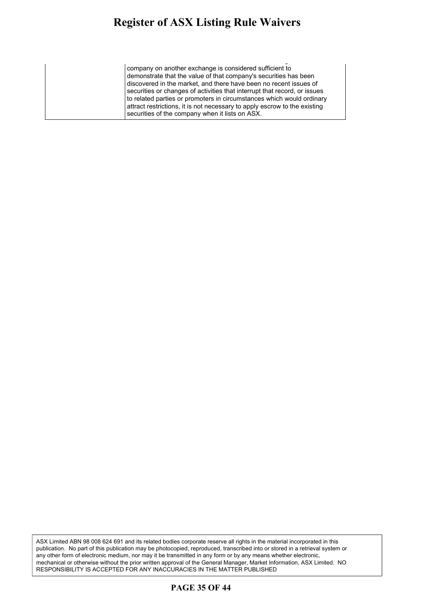#### **Register of ASX Listing Rule Waivers** gister of ASA Listing Ruie Waivers continuous disclosure requirements of the TSX-V market. TSX-V also

on the TSX-V market. Where the disclosure and trading record of a company on another exchange is considered sufficient to demonstrate that the value of that company's securities has been discovered in the market, and there have been no recent issues of securities or changes of activities that interrupt that record, or issues to related parties or promoters in circumstances which would ordinary attract restrictions, it is not necessary to apply escrow to the existing securities of the company when it lists on ASX.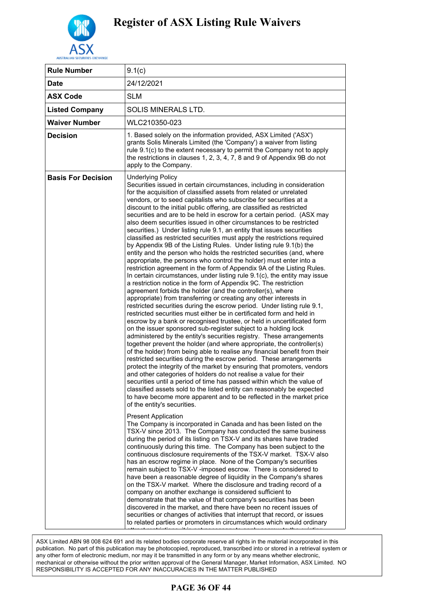

| <b>Rule Number</b>        | 9.1(c)                                                                                                                                                                                                                                                                                                                                                                                                                                                                                                                                                                                                                                                                                                                                                                                                                                                                                                                                                                                                                                                                                                                                                                                                                                                                                                                                                                                                                                                                                                                                                                                                                                                                                                                                                                                                                                                                                                                                                                                                                                                                                                                                                                                                                                                                                                                                                                                                                                                                                                                                                                                                                                                                                                                                                                                                                                                                                                                                                                                                                                |
|---------------------------|---------------------------------------------------------------------------------------------------------------------------------------------------------------------------------------------------------------------------------------------------------------------------------------------------------------------------------------------------------------------------------------------------------------------------------------------------------------------------------------------------------------------------------------------------------------------------------------------------------------------------------------------------------------------------------------------------------------------------------------------------------------------------------------------------------------------------------------------------------------------------------------------------------------------------------------------------------------------------------------------------------------------------------------------------------------------------------------------------------------------------------------------------------------------------------------------------------------------------------------------------------------------------------------------------------------------------------------------------------------------------------------------------------------------------------------------------------------------------------------------------------------------------------------------------------------------------------------------------------------------------------------------------------------------------------------------------------------------------------------------------------------------------------------------------------------------------------------------------------------------------------------------------------------------------------------------------------------------------------------------------------------------------------------------------------------------------------------------------------------------------------------------------------------------------------------------------------------------------------------------------------------------------------------------------------------------------------------------------------------------------------------------------------------------------------------------------------------------------------------------------------------------------------------------------------------------------------------------------------------------------------------------------------------------------------------------------------------------------------------------------------------------------------------------------------------------------------------------------------------------------------------------------------------------------------------------------------------------------------------------------------------------------------------|
| <b>Date</b>               | 24/12/2021                                                                                                                                                                                                                                                                                                                                                                                                                                                                                                                                                                                                                                                                                                                                                                                                                                                                                                                                                                                                                                                                                                                                                                                                                                                                                                                                                                                                                                                                                                                                                                                                                                                                                                                                                                                                                                                                                                                                                                                                                                                                                                                                                                                                                                                                                                                                                                                                                                                                                                                                                                                                                                                                                                                                                                                                                                                                                                                                                                                                                            |
| <b>ASX Code</b>           | <b>SLM</b>                                                                                                                                                                                                                                                                                                                                                                                                                                                                                                                                                                                                                                                                                                                                                                                                                                                                                                                                                                                                                                                                                                                                                                                                                                                                                                                                                                                                                                                                                                                                                                                                                                                                                                                                                                                                                                                                                                                                                                                                                                                                                                                                                                                                                                                                                                                                                                                                                                                                                                                                                                                                                                                                                                                                                                                                                                                                                                                                                                                                                            |
| <b>Listed Company</b>     | <b>SOLIS MINERALS LTD.</b>                                                                                                                                                                                                                                                                                                                                                                                                                                                                                                                                                                                                                                                                                                                                                                                                                                                                                                                                                                                                                                                                                                                                                                                                                                                                                                                                                                                                                                                                                                                                                                                                                                                                                                                                                                                                                                                                                                                                                                                                                                                                                                                                                                                                                                                                                                                                                                                                                                                                                                                                                                                                                                                                                                                                                                                                                                                                                                                                                                                                            |
| <b>Waiver Number</b>      | WLC210350-023                                                                                                                                                                                                                                                                                                                                                                                                                                                                                                                                                                                                                                                                                                                                                                                                                                                                                                                                                                                                                                                                                                                                                                                                                                                                                                                                                                                                                                                                                                                                                                                                                                                                                                                                                                                                                                                                                                                                                                                                                                                                                                                                                                                                                                                                                                                                                                                                                                                                                                                                                                                                                                                                                                                                                                                                                                                                                                                                                                                                                         |
| <b>Decision</b>           | 1. Based solely on the information provided, ASX Limited ('ASX')<br>grants Solis Minerals Limited (the 'Company') a waiver from listing<br>rule 9.1(c) to the extent necessary to permit the Company not to apply<br>the restrictions in clauses 1, 2, 3, 4, 7, 8 and 9 of Appendix 9B do not<br>apply to the Company.                                                                                                                                                                                                                                                                                                                                                                                                                                                                                                                                                                                                                                                                                                                                                                                                                                                                                                                                                                                                                                                                                                                                                                                                                                                                                                                                                                                                                                                                                                                                                                                                                                                                                                                                                                                                                                                                                                                                                                                                                                                                                                                                                                                                                                                                                                                                                                                                                                                                                                                                                                                                                                                                                                                |
| <b>Basis For Decision</b> | <b>Underlying Policy</b><br>Securities issued in certain circumstances, including in consideration<br>for the acquisition of classified assets from related or unrelated<br>vendors, or to seed capitalists who subscribe for securities at a<br>discount to the initial public offering, are classified as restricted<br>securities and are to be held in escrow for a certain period. (ASX may<br>also deem securities issued in other circumstances to be restricted<br>securities.) Under listing rule 9.1, an entity that issues securities<br>classified as restricted securities must apply the restrictions required<br>by Appendix 9B of the Listing Rules. Under listing rule 9.1(b) the<br>entity and the person who holds the restricted securities (and, where<br>appropriate, the persons who control the holder) must enter into a<br>restriction agreement in the form of Appendix 9A of the Listing Rules.<br>In certain circumstances, under listing rule 9.1(c), the entity may issue<br>a restriction notice in the form of Appendix 9C. The restriction<br>agreement forbids the holder (and the controller(s), where<br>appropriate) from transferring or creating any other interests in<br>restricted securities during the escrow period. Under listing rule 9.1,<br>restricted securities must either be in certificated form and held in<br>escrow by a bank or recognised trustee, or held in uncertificated form<br>on the issuer sponsored sub-register subject to a holding lock<br>administered by the entity's securities registry. These arrangements<br>together prevent the holder (and where appropriate, the controller(s)<br>of the holder) from being able to realise any financial benefit from their<br>restricted securities during the escrow period. These arrangements<br>protect the integrity of the market by ensuring that promoters, vendors<br>and other categories of holders do not realise a value for their<br>securities until a period of time has passed within which the value of<br>classified assets sold to the listed entity can reasonably be expected<br>to have become more apparent and to be reflected in the market price<br>of the entity's securities.<br><b>Present Application</b><br>The Company is incorporated in Canada and has been listed on the<br>TSX-V since 2013. The Company has conducted the same business<br>during the period of its listing on TSX-V and its shares have traded<br>continuously during this time. The Company has been subject to the<br>continuous disclosure requirements of the TSX-V market. TSX-V also<br>has an escrow regime in place. None of the Company's securities<br>remain subject to TSX-V -imposed escrow. There is considered to<br>have been a reasonable degree of liquidity in the Company's shares<br>on the TSX-V market. Where the disclosure and trading record of a<br>company on another exchange is considered sufficient to<br>demonstrate that the value of that company's securities has been |
|                           | discovered in the market, and there have been no recent issues of<br>securities or changes of activities that interrupt that record, or issues<br>to related parties or promoters in circumstances which would ordinary                                                                                                                                                                                                                                                                                                                                                                                                                                                                                                                                                                                                                                                                                                                                                                                                                                                                                                                                                                                                                                                                                                                                                                                                                                                                                                                                                                                                                                                                                                                                                                                                                                                                                                                                                                                                                                                                                                                                                                                                                                                                                                                                                                                                                                                                                                                                                                                                                                                                                                                                                                                                                                                                                                                                                                                                               |

### **PAGE 36 OF 44**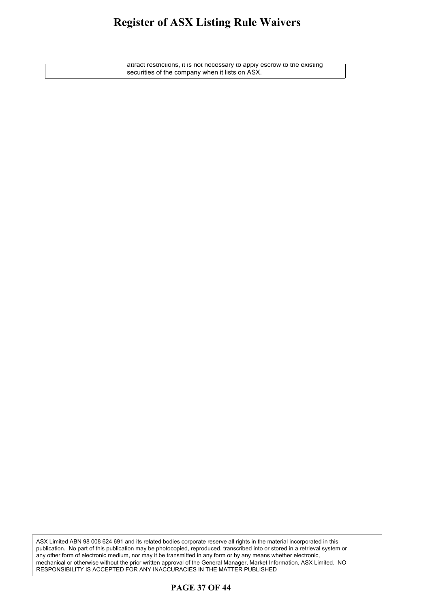#### **Register of ASX Listing Rule Waivers** oister of ASX-Listing Rule Waivers  $\,$ giver of their ensuring rune warve

attract restrictions, it is not necessary to apply escrow to the existing securities of the company when it lists on ASX.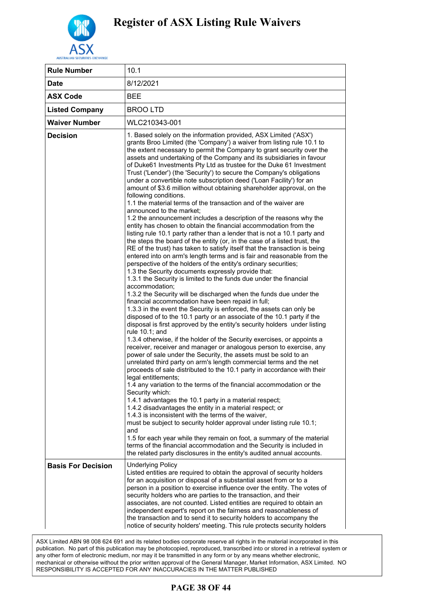

| <b>Rule Number</b>        | 10.1                                                                                                                                                                                                                                                                                                                                                                                                                                                                                                                                                                                                                                                                                                                                                                                                                                                                                                                                                                                                                                                                                                                                                                                                                                                                                                                                                                                                                                                                                                                                                                                                                                                                                                                                                                                                                                                                                                                                                                                                                                                                                                                                                                                                                                                                                                                                                                                                                                                                                                                                                                                                                                                                                                                                                         |
|---------------------------|--------------------------------------------------------------------------------------------------------------------------------------------------------------------------------------------------------------------------------------------------------------------------------------------------------------------------------------------------------------------------------------------------------------------------------------------------------------------------------------------------------------------------------------------------------------------------------------------------------------------------------------------------------------------------------------------------------------------------------------------------------------------------------------------------------------------------------------------------------------------------------------------------------------------------------------------------------------------------------------------------------------------------------------------------------------------------------------------------------------------------------------------------------------------------------------------------------------------------------------------------------------------------------------------------------------------------------------------------------------------------------------------------------------------------------------------------------------------------------------------------------------------------------------------------------------------------------------------------------------------------------------------------------------------------------------------------------------------------------------------------------------------------------------------------------------------------------------------------------------------------------------------------------------------------------------------------------------------------------------------------------------------------------------------------------------------------------------------------------------------------------------------------------------------------------------------------------------------------------------------------------------------------------------------------------------------------------------------------------------------------------------------------------------------------------------------------------------------------------------------------------------------------------------------------------------------------------------------------------------------------------------------------------------------------------------------------------------------------------------------------------------|
| <b>Date</b>               | 8/12/2021                                                                                                                                                                                                                                                                                                                                                                                                                                                                                                                                                                                                                                                                                                                                                                                                                                                                                                                                                                                                                                                                                                                                                                                                                                                                                                                                                                                                                                                                                                                                                                                                                                                                                                                                                                                                                                                                                                                                                                                                                                                                                                                                                                                                                                                                                                                                                                                                                                                                                                                                                                                                                                                                                                                                                    |
| <b>ASX Code</b>           | <b>BEE</b>                                                                                                                                                                                                                                                                                                                                                                                                                                                                                                                                                                                                                                                                                                                                                                                                                                                                                                                                                                                                                                                                                                                                                                                                                                                                                                                                                                                                                                                                                                                                                                                                                                                                                                                                                                                                                                                                                                                                                                                                                                                                                                                                                                                                                                                                                                                                                                                                                                                                                                                                                                                                                                                                                                                                                   |
| <b>Listed Company</b>     | <b>BROOLTD</b>                                                                                                                                                                                                                                                                                                                                                                                                                                                                                                                                                                                                                                                                                                                                                                                                                                                                                                                                                                                                                                                                                                                                                                                                                                                                                                                                                                                                                                                                                                                                                                                                                                                                                                                                                                                                                                                                                                                                                                                                                                                                                                                                                                                                                                                                                                                                                                                                                                                                                                                                                                                                                                                                                                                                               |
| <b>Waiver Number</b>      | WLC210343-001                                                                                                                                                                                                                                                                                                                                                                                                                                                                                                                                                                                                                                                                                                                                                                                                                                                                                                                                                                                                                                                                                                                                                                                                                                                                                                                                                                                                                                                                                                                                                                                                                                                                                                                                                                                                                                                                                                                                                                                                                                                                                                                                                                                                                                                                                                                                                                                                                                                                                                                                                                                                                                                                                                                                                |
| <b>Decision</b>           | 1. Based solely on the information provided, ASX Limited ('ASX')<br>grants Broo Limited (the 'Company') a waiver from listing rule 10.1 to<br>the extent necessary to permit the Company to grant security over the<br>assets and undertaking of the Company and its subsidiaries in favour<br>of Duke61 Investments Pty Ltd as trustee for the Duke 61 Investment<br>Trust ('Lender') (the 'Security') to secure the Company's obligations<br>under a convertible note subscription deed ('Loan Facility') for an<br>amount of \$3.6 million without obtaining shareholder approval, on the<br>following conditions.<br>1.1 the material terms of the transaction and of the waiver are<br>announced to the market;<br>1.2 the announcement includes a description of the reasons why the<br>entity has chosen to obtain the financial accommodation from the<br>listing rule 10.1 party rather than a lender that is not a 10.1 party and<br>the steps the board of the entity (or, in the case of a listed trust, the<br>RE of the trust) has taken to satisfy itself that the transaction is being<br>entered into on arm's length terms and is fair and reasonable from the<br>perspective of the holders of the entity's ordinary securities;<br>1.3 the Security documents expressly provide that:<br>1.3.1 the Security is limited to the funds due under the financial<br>accommodation;<br>1.3.2 the Security will be discharged when the funds due under the<br>financial accommodation have been repaid in full;<br>1.3.3 in the event the Security is enforced, the assets can only be<br>disposed of to the 10.1 party or an associate of the 10.1 party if the<br>disposal is first approved by the entity's security holders under listing<br>rule 10.1; and<br>1.3.4 otherwise, if the holder of the Security exercises, or appoints a<br>receiver, receiver and manager or analogous person to exercise, any<br>power of sale under the Security, the assets must be sold to an<br>unrelated third party on arm's length commercial terms and the net<br>proceeds of sale distributed to the 10.1 party in accordance with their<br>legal entitlements;<br>1.4 any variation to the terms of the financial accommodation or the<br>Security which:<br>1.4.1 advantages the 10.1 party in a material respect;<br>1.4.2 disadvantages the entity in a material respect; or<br>1.4.3 is inconsistent with the terms of the waiver,<br>must be subject to security holder approval under listing rule 10.1;<br>and<br>1.5 for each year while they remain on foot, a summary of the material<br>terms of the financial accommodation and the Security is included in<br>the related party disclosures in the entity's audited annual accounts. |
| <b>Basis For Decision</b> | <b>Underlying Policy</b><br>Listed entities are required to obtain the approval of security holders<br>for an acquisition or disposal of a substantial asset from or to a<br>person in a position to exercise influence over the entity. The votes of<br>security holders who are parties to the transaction, and their<br>associates, are not counted. Listed entities are required to obtain an<br>independent expert's report on the fairness and reasonableness of<br>the transaction and to send it to security holders to accompany the<br>notice of security holders' meeting. This rule protects security holders                                                                                                                                                                                                                                                                                                                                                                                                                                                                                                                                                                                                                                                                                                                                                                                                                                                                                                                                                                                                                                                                                                                                                                                                                                                                                                                                                                                                                                                                                                                                                                                                                                                                                                                                                                                                                                                                                                                                                                                                                                                                                                                                    |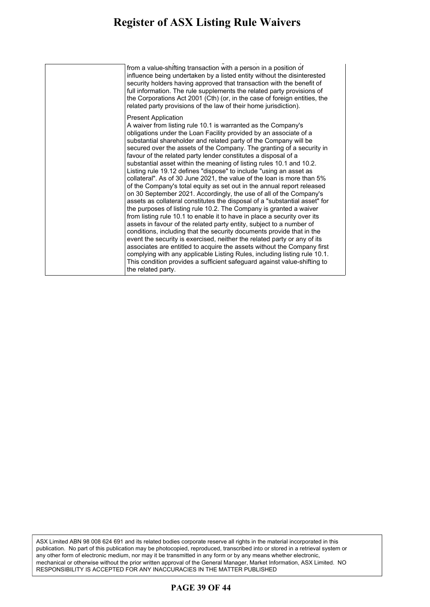#### **Register of ASX Listing Rule Waivers** gister of ASX Listing Kule Waivers security holders who are parties to the transaction, and their

notice of security holders' meeting. This rule protects security holders from a value-shifting transaction with a person in a position of influence being undertaken by a listed entity without the disinterested security holders having approved that transaction with the benefit of full information. The rule supplements the related party provisions of the Corporations Act 2001 (Cth) (or, in the case of foreign entities, the related party provisions of the law of their home jurisdiction).

#### Present Application

A waiver from listing rule 10.1 is warranted as the Company's obligations under the Loan Facility provided by an associate of a substantial shareholder and related party of the Company will be secured over the assets of the Company. The granting of a security in favour of the related party lender constitutes a disposal of a substantial asset within the meaning of listing rules 10.1 and 10.2. Listing rule 19.12 defines "dispose" to include "using an asset as collateral". As of 30 June 2021, the value of the loan is more than 5% of the Company's total equity as set out in the annual report released on 30 September 2021. Accordingly, the use of all of the Company's assets as collateral constitutes the disposal of a "substantial asset" for the purposes of listing rule 10.2. The Company is granted a waiver from listing rule 10.1 to enable it to have in place a security over its assets in favour of the related party entity, subject to a number of conditions, including that the security documents provide that in the event the security is exercised, neither the related party or any of its associates are entitled to acquire the assets without the Company first complying with any applicable Listing Rules, including listing rule 10.1. This condition provides a sufficient safeguard against value-shifting to the related party.

ASX Limited ABN 98 008 624 691 and its related bodies corporate reserve all rights in the material incorporated in this publication. No part of this publication may be photocopied, reproduced, transcribed into or stored in a retrieval system or any other form of electronic medium, nor may it be transmitted in any form or by any means whether electronic, mechanical or otherwise without the prior written approval of the General Manager, Market Information, ASX Limited. NO RESPONSIBILITY IS ACCEPTED FOR ANY INACCURACIES IN THE MATTER PUBLISHED

### **PAGE 39 OF 44**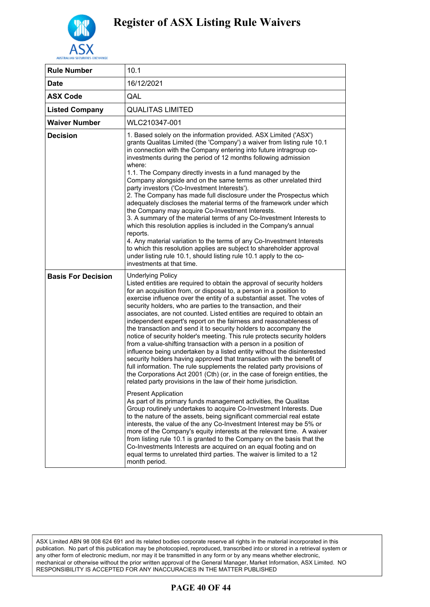

| <b>Rule Number</b>        | 10.1                                                                                                                                                                                                                                                                                                                                                                                                                                                                                                                                                                                                                                                                                                                                                                                                                                                                                                                                                                                                                                                                                                                                                                                                                                                                                                                                                                                                                                                                                                                                                                                                                                                                                                              |
|---------------------------|-------------------------------------------------------------------------------------------------------------------------------------------------------------------------------------------------------------------------------------------------------------------------------------------------------------------------------------------------------------------------------------------------------------------------------------------------------------------------------------------------------------------------------------------------------------------------------------------------------------------------------------------------------------------------------------------------------------------------------------------------------------------------------------------------------------------------------------------------------------------------------------------------------------------------------------------------------------------------------------------------------------------------------------------------------------------------------------------------------------------------------------------------------------------------------------------------------------------------------------------------------------------------------------------------------------------------------------------------------------------------------------------------------------------------------------------------------------------------------------------------------------------------------------------------------------------------------------------------------------------------------------------------------------------------------------------------------------------|
| <b>Date</b>               | 16/12/2021                                                                                                                                                                                                                                                                                                                                                                                                                                                                                                                                                                                                                                                                                                                                                                                                                                                                                                                                                                                                                                                                                                                                                                                                                                                                                                                                                                                                                                                                                                                                                                                                                                                                                                        |
| <b>ASX Code</b>           | QAL                                                                                                                                                                                                                                                                                                                                                                                                                                                                                                                                                                                                                                                                                                                                                                                                                                                                                                                                                                                                                                                                                                                                                                                                                                                                                                                                                                                                                                                                                                                                                                                                                                                                                                               |
| <b>Listed Company</b>     | <b>QUALITAS LIMITED</b>                                                                                                                                                                                                                                                                                                                                                                                                                                                                                                                                                                                                                                                                                                                                                                                                                                                                                                                                                                                                                                                                                                                                                                                                                                                                                                                                                                                                                                                                                                                                                                                                                                                                                           |
| <b>Waiver Number</b>      | WLC210347-001                                                                                                                                                                                                                                                                                                                                                                                                                                                                                                                                                                                                                                                                                                                                                                                                                                                                                                                                                                                                                                                                                                                                                                                                                                                                                                                                                                                                                                                                                                                                                                                                                                                                                                     |
| <b>Decision</b>           | 1. Based solely on the information provided. ASX Limited ('ASX')<br>grants Qualitas Limited (the 'Company') a waiver from listing rule 10.1<br>in connection with the Company entering into future intragroup co-<br>investments during the period of 12 months following admission<br>where:<br>1.1. The Company directly invests in a fund managed by the<br>Company alongside and on the same terms as other unrelated third<br>party investors ('Co-Investment Interests').<br>2. The Company has made full disclosure under the Prospectus which<br>adequately discloses the material terms of the framework under which<br>the Company may acquire Co-Investment Interests.<br>3. A summary of the material terms of any Co-Investment Interests to<br>which this resolution applies is included in the Company's annual<br>reports.<br>4. Any material variation to the terms of any Co-Investment Interests<br>to which this resolution applies are subject to shareholder approval<br>under listing rule 10.1, should listing rule 10.1 apply to the co-<br>investments at that time.                                                                                                                                                                                                                                                                                                                                                                                                                                                                                                                                                                                                                    |
| <b>Basis For Decision</b> | <b>Underlying Policy</b><br>Listed entities are required to obtain the approval of security holders<br>for an acquisition from, or disposal to, a person in a position to<br>exercise influence over the entity of a substantial asset. The votes of<br>security holders, who are parties to the transaction, and their<br>associates, are not counted. Listed entities are required to obtain an<br>independent expert's report on the fairness and reasonableness of<br>the transaction and send it to security holders to accompany the<br>notice of security holder's meeting. This rule protects security holders<br>from a value-shifting transaction with a person in a position of<br>influence being undertaken by a listed entity without the disinterested<br>security holders having approved that transaction with the benefit of<br>full information. The rule supplements the related party provisions of<br>the Corporations Act 2001 (Cth) (or, in the case of foreign entities, the<br>related party provisions in the law of their home jurisdiction.<br><b>Present Application</b><br>As part of its primary funds management activities, the Qualitas<br>Group routinely undertakes to acquire Co-Investment Interests. Due<br>to the nature of the assets, being significant commercial real estate<br>interests, the value of the any Co-Investment Interest may be 5% or<br>more of the Company's equity interests at the relevant time. A waiver<br>from listing rule 10.1 is granted to the Company on the basis that the<br>Co-Investments Interests are acquired on an equal footing and on<br>equal terms to unrelated third parties. The waiver is limited to a 12<br>month period. |

### **PAGE 40 OF 44**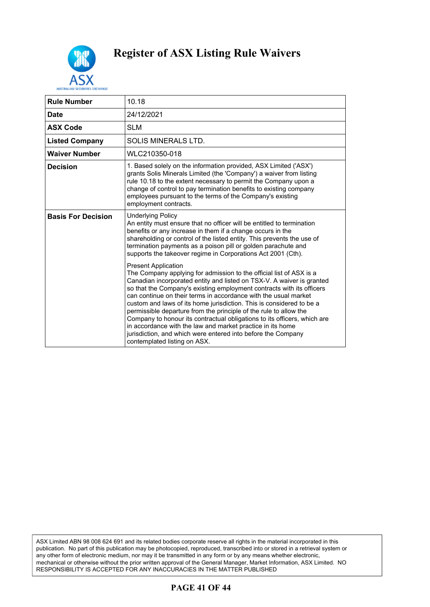

| <b>Rule Number</b>        | 10.18                                                                                                                                                                                                                                                                                                                                                                                                                                                                                                                                                                                                                                                                                                         |
|---------------------------|---------------------------------------------------------------------------------------------------------------------------------------------------------------------------------------------------------------------------------------------------------------------------------------------------------------------------------------------------------------------------------------------------------------------------------------------------------------------------------------------------------------------------------------------------------------------------------------------------------------------------------------------------------------------------------------------------------------|
| <b>Date</b>               | 24/12/2021                                                                                                                                                                                                                                                                                                                                                                                                                                                                                                                                                                                                                                                                                                    |
| <b>ASX Code</b>           | <b>SLM</b>                                                                                                                                                                                                                                                                                                                                                                                                                                                                                                                                                                                                                                                                                                    |
| <b>Listed Company</b>     | SOLIS MINERALS LTD.                                                                                                                                                                                                                                                                                                                                                                                                                                                                                                                                                                                                                                                                                           |
| <b>Waiver Number</b>      | WLC210350-018                                                                                                                                                                                                                                                                                                                                                                                                                                                                                                                                                                                                                                                                                                 |
| <b>Decision</b>           | 1. Based solely on the information provided, ASX Limited ('ASX')<br>grants Solis Minerals Limited (the 'Company') a waiver from listing<br>rule 10.18 to the extent necessary to permit the Company upon a<br>change of control to pay termination benefits to existing company<br>employees pursuant to the terms of the Company's existing<br>employment contracts.                                                                                                                                                                                                                                                                                                                                         |
| <b>Basis For Decision</b> | <b>Underlying Policy</b><br>An entity must ensure that no officer will be entitled to termination<br>benefits or any increase in them if a change occurs in the<br>shareholding or control of the listed entity. This prevents the use of<br>termination payments as a poison pill or golden parachute and<br>supports the takeover regime in Corporations Act 2001 (Cth).                                                                                                                                                                                                                                                                                                                                    |
|                           | <b>Present Application</b><br>The Company applying for admission to the official list of ASX is a<br>Canadian incorporated entity and listed on TSX-V. A waiver is granted<br>so that the Company's existing employment contracts with its officers<br>can continue on their terms in accordance with the usual market<br>custom and laws of its home jurisdiction. This is considered to be a<br>permissible departure from the principle of the rule to allow the<br>Company to honour its contractual obligations to its officers, which are<br>in accordance with the law and market practice in its home<br>jurisdiction, and which were entered into before the Company<br>contemplated listing on ASX. |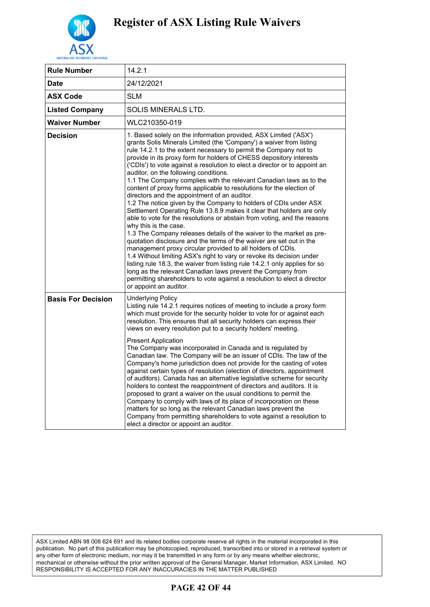

| <b>Rule Number</b>        | 14.2.1                                                                                                                                                                                                                                                                                                                                                                                                                                                                                                                                                                                                                                                                                                                                                                                                                                                                                                                                                                                                                                                                                                                                                                                                                                                                                                                                                                                             |
|---------------------------|----------------------------------------------------------------------------------------------------------------------------------------------------------------------------------------------------------------------------------------------------------------------------------------------------------------------------------------------------------------------------------------------------------------------------------------------------------------------------------------------------------------------------------------------------------------------------------------------------------------------------------------------------------------------------------------------------------------------------------------------------------------------------------------------------------------------------------------------------------------------------------------------------------------------------------------------------------------------------------------------------------------------------------------------------------------------------------------------------------------------------------------------------------------------------------------------------------------------------------------------------------------------------------------------------------------------------------------------------------------------------------------------------|
| <b>Date</b>               | 24/12/2021                                                                                                                                                                                                                                                                                                                                                                                                                                                                                                                                                                                                                                                                                                                                                                                                                                                                                                                                                                                                                                                                                                                                                                                                                                                                                                                                                                                         |
| <b>ASX Code</b>           | SLM                                                                                                                                                                                                                                                                                                                                                                                                                                                                                                                                                                                                                                                                                                                                                                                                                                                                                                                                                                                                                                                                                                                                                                                                                                                                                                                                                                                                |
| <b>Listed Company</b>     | SOLIS MINERALS LTD.                                                                                                                                                                                                                                                                                                                                                                                                                                                                                                                                                                                                                                                                                                                                                                                                                                                                                                                                                                                                                                                                                                                                                                                                                                                                                                                                                                                |
| <b>Waiver Number</b>      | WLC210350-019                                                                                                                                                                                                                                                                                                                                                                                                                                                                                                                                                                                                                                                                                                                                                                                                                                                                                                                                                                                                                                                                                                                                                                                                                                                                                                                                                                                      |
| <b>Decision</b>           | 1. Based solely on the information provided, ASX Limited ('ASX')<br>grants Solis Minerals Limited (the 'Company') a waiver from listing<br>rule 14.2.1 to the extent necessary to permit the Company not to<br>provide in its proxy form for holders of CHESS depository interests<br>('CDIs') to vote against a resolution to elect a director or to appoint an<br>auditor, on the following conditions.<br>1.1 The Company complies with the relevant Canadian laws as to the<br>content of proxy forms applicable to resolutions for the election of<br>directors and the appointment of an auditor.<br>1.2 The notice given by the Company to holders of CDIs under ASX<br>Settlement Operating Rule 13.8.9 makes it clear that holders are only<br>able to vote for the resolutions or abstain from voting, and the reasons<br>why this is the case.<br>1.3 The Company releases details of the waiver to the market as pre-<br>quotation disclosure and the terms of the waiver are set out in the<br>management proxy circular provided to all holders of CDIs.<br>1.4 Without limiting ASX's right to vary or revoke its decision under<br>listing rule 18.3, the waiver from listing rule 14.2.1 only applies for so<br>long as the relevant Canadian laws prevent the Company from<br>permitting shareholders to vote against a resolution to elect a director<br>or appoint an auditor. |
| <b>Basis For Decision</b> | <b>Underlying Policy</b><br>Listing rule 14.2.1 requires notices of meeting to include a proxy form<br>which must provide for the security holder to vote for or against each<br>resolution. This ensures that all security holders can express their<br>views on every resolution put to a security holders' meeting.<br><b>Present Application</b><br>The Company was incorporated in Canada and is regulated by<br>Canadian law. The Company will be an issuer of CDIs. The law of the<br>Company's home jurisdiction does not provide for the casting of votes<br>against certain types of resolution (election of directors, appointment<br>of auditors). Canada has an alternative legislative scheme for security<br>holders to contest the reappointment of directors and auditors. It is<br>proposed to grant a waiver on the usual conditions to permit the<br>Company to comply with laws of its place of incorporation on these<br>matters for so long as the relevant Canadian laws prevent the<br>Company from permitting shareholders to vote against a resolution to<br>elect a director or appoint an auditor.                                                                                                                                                                                                                                                                    |

### **PAGE 42 OF 44**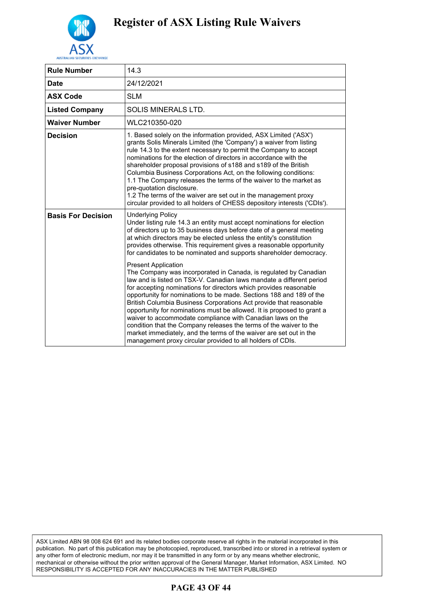

| <b>Rule Number</b>        | 14.3                                                                                                                                                                                                                                                                                                                                                                                                                                                                                                                                                                                                                                                                                                                                       |
|---------------------------|--------------------------------------------------------------------------------------------------------------------------------------------------------------------------------------------------------------------------------------------------------------------------------------------------------------------------------------------------------------------------------------------------------------------------------------------------------------------------------------------------------------------------------------------------------------------------------------------------------------------------------------------------------------------------------------------------------------------------------------------|
| <b>Date</b>               | 24/12/2021                                                                                                                                                                                                                                                                                                                                                                                                                                                                                                                                                                                                                                                                                                                                 |
| <b>ASX Code</b>           | <b>SLM</b>                                                                                                                                                                                                                                                                                                                                                                                                                                                                                                                                                                                                                                                                                                                                 |
| <b>Listed Company</b>     | SOLIS MINERALS LTD.                                                                                                                                                                                                                                                                                                                                                                                                                                                                                                                                                                                                                                                                                                                        |
| Waiver Number             | WLC210350-020                                                                                                                                                                                                                                                                                                                                                                                                                                                                                                                                                                                                                                                                                                                              |
| <b>Decision</b>           | 1. Based solely on the information provided, ASX Limited ('ASX')<br>grants Solis Minerals Limited (the 'Company') a waiver from listing<br>rule 14.3 to the extent necessary to permit the Company to accept<br>nominations for the election of directors in accordance with the<br>shareholder proposal provisions of s188 and s189 of the British<br>Columbia Business Corporations Act, on the following conditions:<br>1.1 The Company releases the terms of the waiver to the market as<br>pre-quotation disclosure.<br>1.2 The terms of the waiver are set out in the management proxy<br>circular provided to all holders of CHESS depository interests ('CDIs').                                                                   |
| <b>Basis For Decision</b> | <b>Underlying Policy</b><br>Under listing rule 14.3 an entity must accept nominations for election<br>of directors up to 35 business days before date of a general meeting<br>at which directors may be elected unless the entity's constitution<br>provides otherwise. This requirement gives a reasonable opportunity<br>for candidates to be nominated and supports shareholder democracy.                                                                                                                                                                                                                                                                                                                                              |
|                           | <b>Present Application</b><br>The Company was incorporated in Canada, is regulated by Canadian<br>law and is listed on TSX-V. Canadian laws mandate a different period<br>for accepting nominations for directors which provides reasonable<br>opportunity for nominations to be made. Sections 188 and 189 of the<br>British Columbia Business Corporations Act provide that reasonable<br>opportunity for nominations must be allowed. It is proposed to grant a<br>waiver to accommodate compliance with Canadian laws on the<br>condition that the Company releases the terms of the waiver to the<br>market immediately, and the terms of the waiver are set out in the<br>management proxy circular provided to all holders of CDIs. |